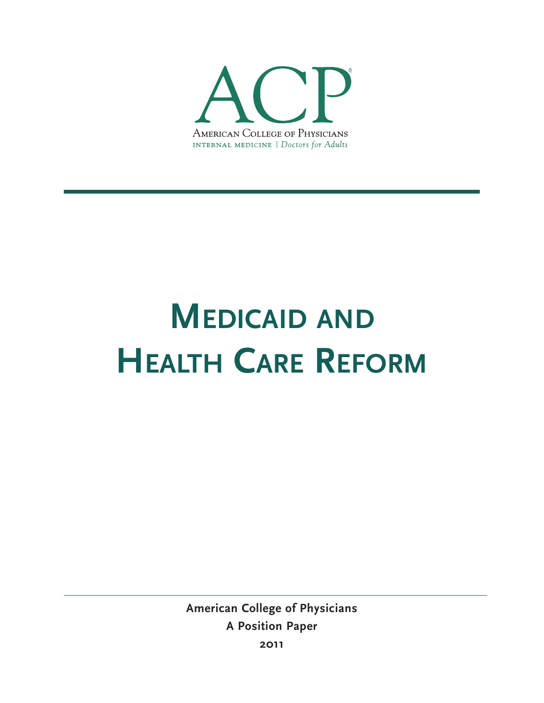

# **MEDICAID AND HEALTH CARE REFORM**

**American College of Physicians A Position Paper 2011**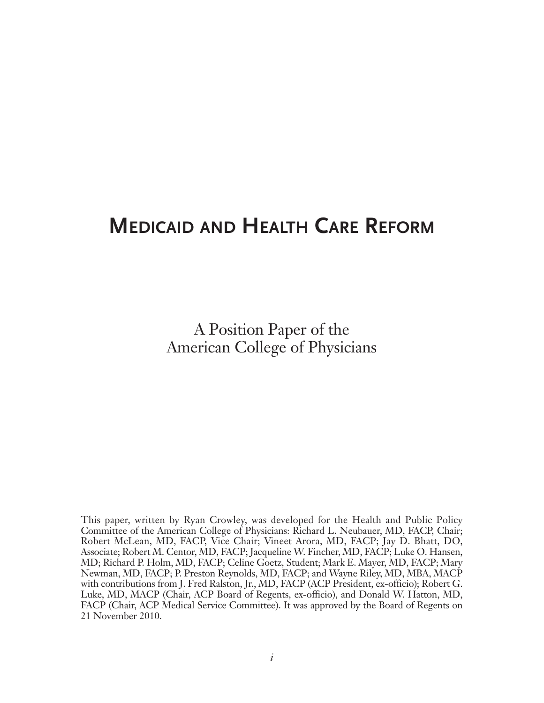# **MEDICAID AND HEALTH CARE REFORM**

A Position Paper of the American College of Physicians

This paper, written by Ryan Crowley, was developed for the Health and Public Policy Committee of the American College of Physicians: Richard L. Neubauer, MD, FACP, Chair; Robert McLean, MD, FACP, Vice Chair; Vineet Arora, MD, FACP; Jay D. Bhatt, DO, Associate; Robert M. Centor, MD, FACP; Jacqueline W. Fincher, MD, FACP; Luke O. Hansen, MD; Richard P. Holm, MD, FACP; Celine Goetz, Student; Mark E. Mayer, MD, FACP; Mary Newman, MD, FACP; P. Preston Reynolds, MD, FACP; and Wayne Riley, MD, MBA, MACP with contributions from J. Fred Ralston, Jr., MD, FACP (ACP President, ex-officio); Robert G. Luke, MD, MACP (Chair, ACP Board of Regents, ex-officio), and Donald W. Hatton, MD, FACP (Chair, ACP Medical Service Committee). It was approved by the Board of Regents on 21 November 2010.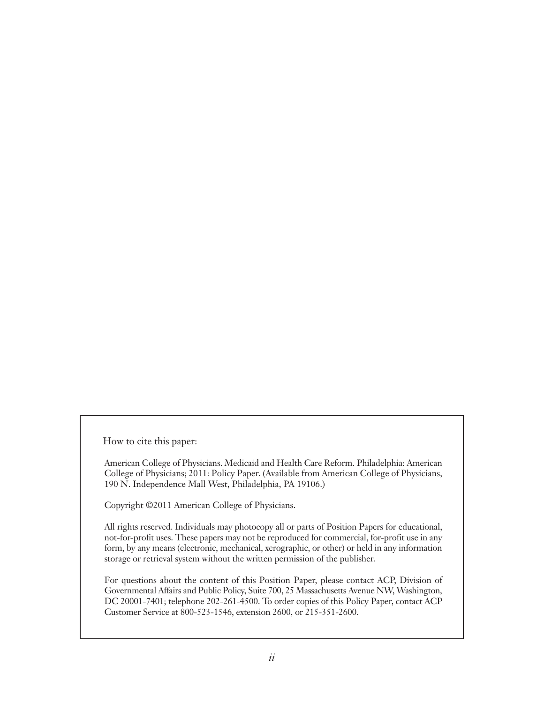How to cite this paper:

American College of Physicians. Medicaid and Health Care Reform. Philadelphia: American College of Physicians; 2011: Policy Paper. (Available from American College of Physicians, 190 N. Independence Mall West, Philadelphia, PA 19106.)

Copyright ©2011 American College of Physicians.

All rights reserved. Individuals may photocopy all or parts of Position Papers for educational, not-for-profit uses. These papers may not be reproduced for commercial, for-profit use in any form, by any means (electronic, mechanical, xerographic, or other) or held in any information storage or retrieval system without the written permission of the publisher.

For questions about the content of this Position Paper, please contact ACP, Division of Governmental Affairs and Public Policy, Suite 700, 25 Massachusetts Avenue NW, Washington, DC 20001-7401; telephone 202-261-4500. To order copies of this Policy Paper, contact ACP Customer Service at 800-523-1546, extension 2600, or 215-351-2600.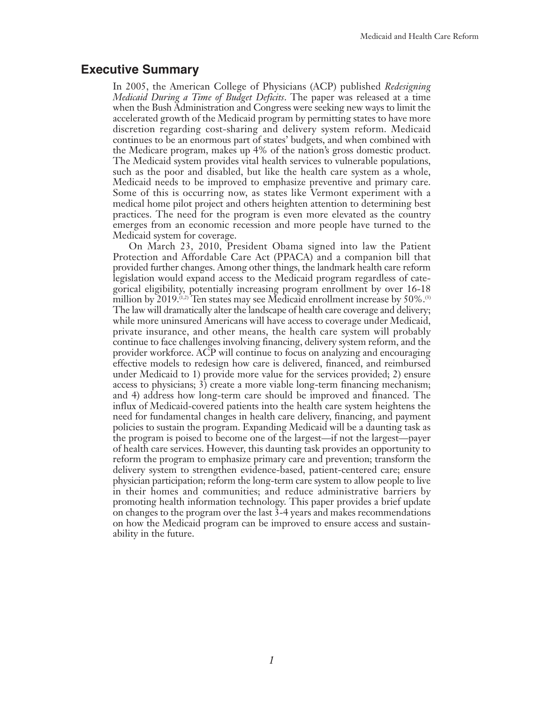## **Executive Summary**

In 2005, the American College of Physicians (ACP) published *Redesigning Medicaid During a Time of Budget Deficits*. The paper was released at a time when the Bush Administration and Congress were seeking new ways to limit the accelerated growth of the Medicaid program by permitting states to have more discretion regarding cost-sharing and delivery system reform. Medicaid continues to be an enormous part of states' budgets, and when combined with the Medicare program, makes up 4% of the nation's gross domestic product. The Medicaid system provides vital health services to vulnerable populations, such as the poor and disabled, but like the health care system as a whole, Medicaid needs to be improved to emphasize preventive and primary care. Some of this is occurring now, as states like Vermont experiment with a medical home pilot project and others heighten attention to determining best practices. The need for the program is even more elevated as the country emerges from an economic recession and more people have turned to the Medicaid system for coverage.

On March 23, 2010, President Obama signed into law the Patient Protection and Affordable Care Act (PPACA) and a companion bill that provided further changes. Among other things, the landmark health care reform legislation would expand access to the Medicaid program regardless of categorical eligibility, potentially increasing program enrollment by over 16-18 million by 2019.<sup> $(1,2)$ </sup> Ten states may see Medicaid enrollment increase by 50%.<sup> $(3)$ </sup> The law will dramatically alter the landscape of health care coverage and delivery; while more uninsured Americans will have access to coverage under Medicaid, private insurance, and other means, the health care system will probably continue to face challenges involving financing, delivery system reform, and the provider workforce. ACP will continue to focus on analyzing and encouraging effective models to redesign how care is delivered, financed, and reimbursed under Medicaid to 1) provide more value for the services provided; 2) ensure access to physicians; 3) create a more viable long-term financing mechanism; and 4) address how long-term care should be improved and financed. The influx of Medicaid-covered patients into the health care system heightens the need for fundamental changes in health care delivery, financing, and payment policies to sustain the program. Expanding Medicaid will be a daunting task as the program is poised to become one of the largest—if not the largest—payer of health care services. However, this daunting task provides an opportunity to reform the program to emphasize primary care and prevention; transform the delivery system to strengthen evidence-based, patient-centered care; ensure physician participation; reform the long-term care system to allow people to live in their homes and communities; and reduce administrative barriers by promoting health information technology. This paper provides a brief update on changes to the program over the last 3-4 years and makes recommendations on how the Medicaid program can be improved to ensure access and sustainability in the future.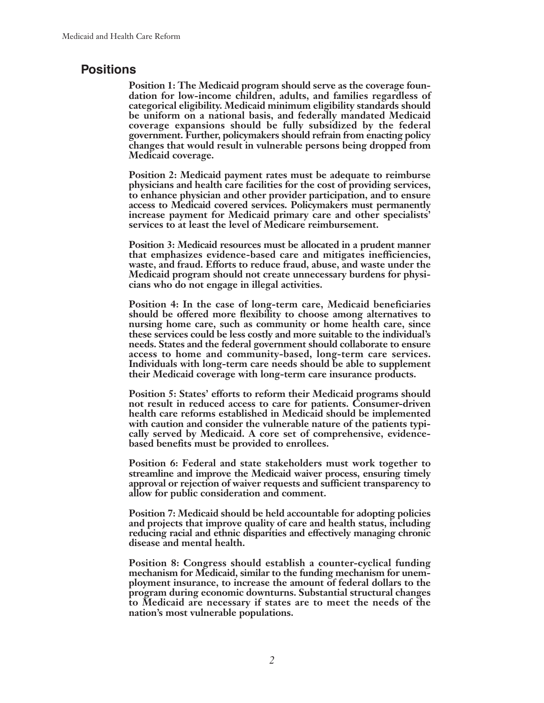## **Positions**

**Position 1: The Medicaid program should serve as the coverage foundation for low-income children, adults, and families regardless of categorical eligibility. Medicaid minimum eligibility standards should be uniform on a national basis, and federally mandated Medicaid coverage expansions should be fully subsidized by the federal government. Further, policymakers should refrain from enacting policy changes that would result in vulnerable persons being dropped from Medicaid coverage.**

**Position 2: Medicaid payment rates must be adequate to reimburse physicians and health care facilities for the cost of providing services, to enhance physician and other provider participation, and to ensure access to Medicaid covered services. Policymakers must permanently increase payment for Medicaid primary care and other specialists' services to at least the level of Medicare reimbursement.**

**Position 3: Medicaid resources must be allocated in a prudent manner that emphasizes evidence-based care and mitigates inefficiencies, waste, and fraud. Efforts to reduce fraud, abuse, and waste under the Medicaid program should not create unnecessary burdens for physicians who do not engage in illegal activities.**

**Position 4: In the case of long-term care, Medicaid beneficiaries should be offered more flexibility to choose among alternatives to nursing home care, such as community or home health care, since these services could be less costly and more suitable to the individual's needs. States and the federal government should collaborate to ensure access to home and community-based, long-term care services. Individuals with long-term care needs should be able to supplement their Medicaid coverage with long-term care insurance products.**

**Position 5: States' efforts to reform their Medicaid programs should not result in reduced access to care for patients. Consumer-driven health care reforms established in Medicaid should be implemented with caution and consider the vulnerable nature of the patients typically served by Medicaid. A core set of comprehensive, evidencebased benefits must be provided to enrollees.**

**Position 6: Federal and state stakeholders must work together to streamline and improve the Medicaid waiver process, ensuring timely approval or rejection of waiver requests and sufficient transparency to allow for public consideration and comment.**

**Position 7: Medicaid should be held accountable for adopting policies and projects that improve quality of care and health status, including reducing racial and ethnic disparities and effectively managing chronic disease and mental health.**

**Position 8: Congress should establish a counter-cyclical funding mechanism for Medicaid, similar to the funding mechanism for unemployment insurance, to increase the amount of federal dollars to the program during economic downturns. Substantial structural changes to Medicaid are necessary if states are to meet the needs of the nation's most vulnerable populations.**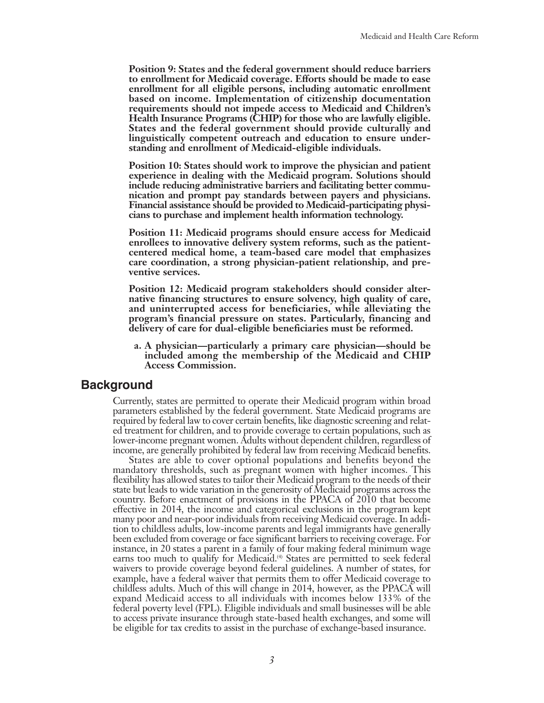**Position 9: States and the federal government should reduce barriers to enrollment for Medicaid coverage. Efforts should be made to ease enrollment for all eligible persons, including automatic enrollment based on income. Implementation of citizenship documentation requirements should not impede access to Medicaid and Children's Health Insurance Programs (CHIP) for those who are lawfully eligible. States and the federal government should provide culturally and linguistically competent outreach and education to ensure understanding and enrollment of Medicaid-eligible individuals.**

**Position 10: States should work to improve the physician and patient experience in dealing with the Medicaid program. Solutions should include reducing administrative barriers and facilitating better communication and prompt pay standards between payers and physicians. Financial assistance should be provided to Medicaid-participating physicians to purchase and implement health information technology.**

**Position 11: Medicaid programs should ensure access for Medicaid enrollees to innovative delivery system reforms, such as the patientcentered medical home, a team-based care model that emphasizes care coordination, a strong physician-patient relationship, and preventive services.**

**Position 12: Medicaid program stakeholders should consider alternative financing structures to ensure solvency, high quality of care, and uninterrupted access for beneficiaries, while alleviating the program's financial pressure on states. Particularly, financing and delivery of care for dual-eligible beneficiaries must be reformed.**

**a. A physician—particularly a primary care physician—should be included among the membership of the Medicaid and CHIP Access Commission.**

### **Background**

Currently, states are permitted to operate their Medicaid program within broad parameters established by the federal government. State Medicaid programs are required by federal law to cover certain benefits, like diagnostic screening and related treatment for children, and to provide coverage to certain populations, such as lower-income pregnant women. Adults without dependent children, regardless of income, are generally prohibited by federal law from receiving Medicaid benefits.

States are able to cover optional populations and benefits beyond the mandatory thresholds, such as pregnant women with higher incomes. This flexibility has allowed states to tailor their Medicaid program to the needs of their state but leads to wide variation in the generosity of Medicaid programs across the country. Before enactment of provisions in the PPACA of 2010 that become effective in 2014, the income and categorical exclusions in the program kept many poor and near-poor individuals from receiving Medicaid coverage. In addition to childless adults, low-income parents and legal immigrants have generally been excluded from coverage or face significant barriers to receiving coverage. For instance, in 20 states a parent in a family of four making federal minimum wage earns too much to qualify for Medicaid.<sup>(4)</sup> States are permitted to seek federal waivers to provide coverage beyond federal guidelines. A number of states, for example, have a federal waiver that permits them to offer Medicaid coverage to childless adults. Much of this will change in 2014, however, as the PPACA will expand Medicaid access to all individuals with incomes below 133% of the federal poverty level (FPL). Eligible individuals and small businesses will be able to access private insurance through state-based health exchanges, and some will be eligible for tax credits to assist in the purchase of exchange-based insurance.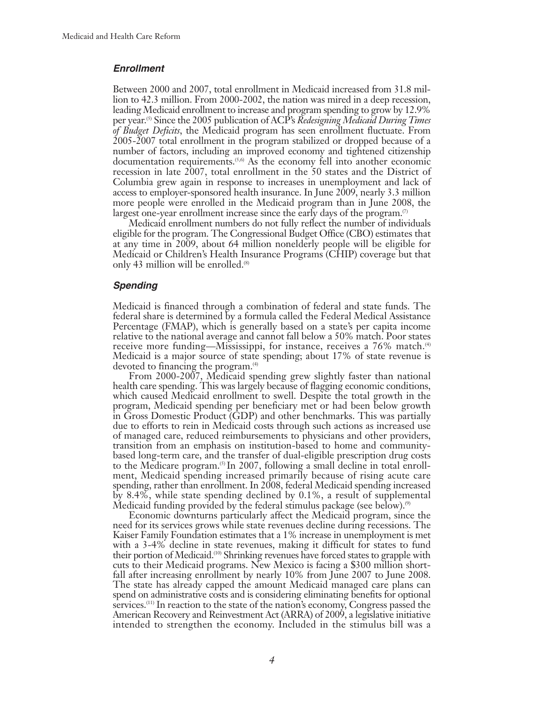#### *Enrollment*

Between 2000 and 2007, total enrollment in Medicaid increased from 31.8 million to 42.3 million. From 2000-2002, the nation was mired in a deep recession, leading Medicaid enrollment to increase and program spending to grow by 12.9% per year.(5) Since the 2005 publication of ACP's *Redesigning Medicaid During Times of Budget Deficits*, the Medicaid program has seen enrollment fluctuate. From 2005-2007 total enrollment in the program stabilized or dropped because of a number of factors, including an improved economy and tightened citizenship documentation requirements.<sup>(5,6)</sup> As the economy fell into another economic recession in late 2007, total enrollment in the 50 states and the District of Columbia grew again in response to increases in unemployment and lack of access to employer-sponsored health insurance. In June 2009, nearly 3.3 million more people were enrolled in the Medicaid program than in June 2008, the largest one-year enrollment increase since the early days of the program. $\sigma$ 

Medicaid enrollment numbers do not fully reflect the number of individuals eligible for the program. The Congressional Budget Office (CBO) estimates that at any time in 2009, about 64 million nonelderly people will be eligible for Medicaid or Children's Health Insurance Programs (CHIP) coverage but that only 43 million will be enrolled. $(8)$ 

#### *Spending*

Medicaid is financed through a combination of federal and state funds. The federal share is determined by a formula called the Federal Medical Assistance Percentage (FMAP), which is generally based on a state's per capita income relative to the national average and cannot fall below a 50% match. Poor states receive more funding—Mississippi, for instance, receives a 76% match.<sup>(4)</sup> Medicaid is a major source of state spending; about 17% of state revenue is devoted to financing the program.<sup>(4)</sup>

From 2000-2007, Medicaid spending grew slightly faster than national health care spending. This was largely because of flagging economic conditions, which caused Medicaid enrollment to swell. Despite the total growth in the program, Medicaid spending per beneficiary met or had been below growth in Gross Domestic Product (GDP) and other benchmarks. This was partially due to efforts to rein in Medicaid costs through such actions as increased use of managed care, reduced reimbursements to physicians and other providers, transition from an emphasis on institution-based to home and communitybased long-term care, and the transfer of dual-eligible prescription drug costs to the Medicare program.<sup>(5)</sup> In 2007, following a small decline in total enrollment, Medicaid spending increased primarily because of rising acute care spending, rather than enrollment. In 2008, federal Medicaid spending increased by 8.4%, while state spending declined by 0.1%, a result of supplemental Medicaid funding provided by the federal stimulus package (see below).<sup> $\circ$ )</sup>

Economic downturns particularly affect the Medicaid program, since the need for its services grows while state revenues decline during recessions. The Kaiser Family Foundation estimates that a 1% increase in unemployment is met with a 3-4% decline in state revenues, making it difficult for states to fund their portion of Medicaid.(10) Shrinking revenues have forced states to grapple with cuts to their Medicaid programs. New Mexico is facing a \$300 million shortfall after increasing enrollment by nearly 10% from June 2007 to June 2008. The state has already capped the amount Medicaid managed care plans can spend on administrative costs and is considering eliminating benefits for optional services.<sup>(11)</sup> In reaction to the state of the nation's economy, Congress passed the American Recovery and Reinvestment Act (ARRA) of 2009, a legislative initiative intended to strengthen the economy. Included in the stimulus bill was a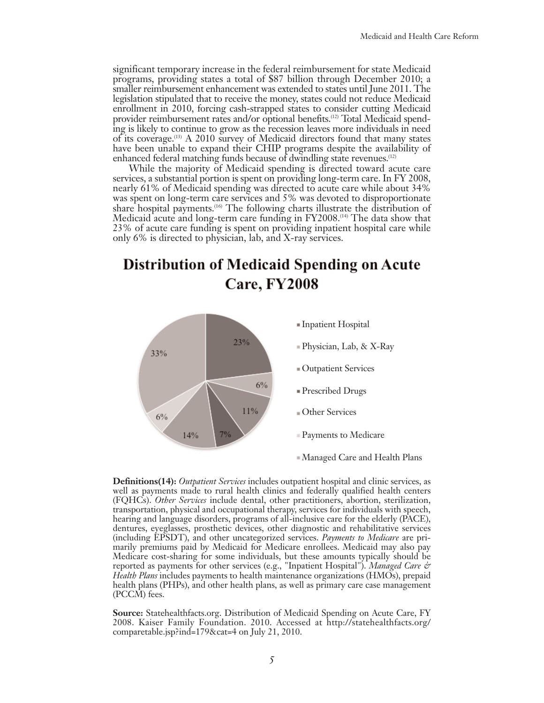significant temporary increase in the federal reimbursement for state Medicaid programs, providing states a total of \$87 billion through December 2010; a smaller reimbursement enhancement was extended to states until June 2011. The legislation stipulated that to receive the money, states could not reduce Medicaid enrollment in 2010, forcing cash-strapped states to consider cutting Medicaid provider reimbursement rates and/or optional benefits.<sup>(12)</sup> Total Medicaid spending is likely to continue to grow as the recession leaves more individuals in need of its coverage.(13) A 2010 survey of Medicaid directors found that many states have been unable to expand their CHIP programs despite the availability of enhanced federal matching funds because of dwindling state revenues.<sup>(12)</sup>

While the majority of Medicaid spending is directed toward acute care services, a substantial portion is spent on providing long-term care. In FY 2008, nearly 61% of Medicaid spending was directed to acute care while about 34% was spent on long-term care services and 5% was devoted to disproportionate share hospital payments.<sup>(16)</sup> The following charts illustrate the distribution of Medicaid acute and long-term care funding in FY2008.(14) The data show that 23% of acute care funding is spent on providing inpatient hospital care while only 6% is directed to physician, lab, and X-ray services.

# **Distribution of Medicaid Spending on Acute** Care, FY2008



**Definitions(14):** *Outpatient Services* includes outpatient hospital and clinic services, as well as payments made to rural health clinics and federally qualified health centers (FQHCs). *Other Services* include dental, other practitioners, abortion, sterilization, transportation, physical and occupational therapy, services for individuals with speech, hearing and language disorders, programs of all-inclusive care for the elderly (PACE), dentures, eyeglasses, prosthetic devices, other diagnostic and rehabilitative services (including EPSDT), and other uncategorized services. *Payments to Medicare* are primarily premiums paid by Medicaid for Medicare enrollees. Medicaid may also pay Medicare cost-sharing for some individuals, but these amounts typically should be reported as payments for other services (e.g., "Inpatient Hospital"). *Managed Care & Health Plans* includes payments to health maintenance organizations (HMOs), prepaid health plans (PHPs), and other health plans, as well as primary care case management (PCCM) fees.

**Source:** Statehealthfacts.org. Distribution of Medicaid Spending on Acute Care, FY 2008. Kaiser Family Foundation. 2010. Accessed at http://statehealthfacts.org/ comparetable.jsp?ind=179&cat=4 on July 21, 2010.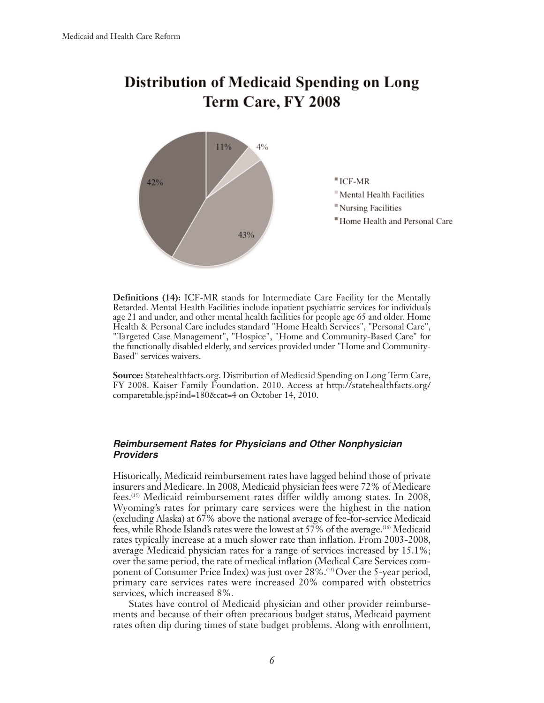# **Distribution of Medicaid Spending on Long** Term Care, FY 2008



**Definitions (14):** ICF-MR stands for Intermediate Care Facility for the Mentally Retarded. Mental Health Facilities include inpatient psychiatric services for individuals age 21 and under, and other mental health facilities for people age 65 and older. Home Health & Personal Care includes standard "Home Health Services", "Personal Care", "Targeted Case Management", "Hospice", "Home and Community-Based Care" for the functionally disabled elderly, and services provided under "Home and Community-Based" services waivers.

**Source:** Statehealthfacts.org. Distribution of Medicaid Spending on Long Term Care, FY 2008. Kaiser Family Foundation. 2010. Access at http://statehealthfacts.org/ comparetable.jsp?ind=180&cat=4 on October 14, 2010.

#### *Reimbursement Rates for Physicians and Other Nonphysician Providers*

Historically, Medicaid reimbursement rates have lagged behind those of private insurers and Medicare. In 2008, Medicaid physician fees were 72% of Medicare fees.(15) Medicaid reimbursement rates differ wildly among states. In 2008, Wyoming's rates for primary care services were the highest in the nation (excluding Alaska) at 67% above the national average of fee-for-service Medicaid fees, while Rhode Island's rates were the lowest at 57% of the average.(16) Medicaid rates typically increase at a much slower rate than inflation. From 2003-2008, average Medicaid physician rates for a range of services increased by 15.1%; over the same period, the rate of medical inflation (Medical Care Services component of Consumer Price Index) was just over 28%.(15) Over the 5-year period, primary care services rates were increased 20% compared with obstetrics services, which increased 8%.

States have control of Medicaid physician and other provider reimbursements and because of their often precarious budget status, Medicaid payment rates often dip during times of state budget problems. Along with enrollment,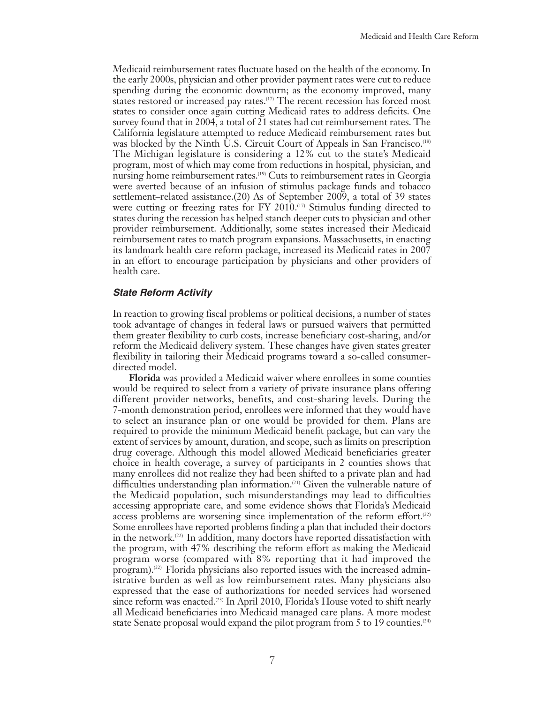Medicaid reimbursement rates fluctuate based on the health of the economy. In the early 2000s, physician and other provider payment rates were cut to reduce spending during the economic downturn; as the economy improved, many states restored or increased pay rates.(17) The recent recession has forced most states to consider once again cutting Medicaid rates to address deficits. One survey found that in 2004, a total of 21 states had cut reimbursement rates. The California legislature attempted to reduce Medicaid reimbursement rates but was blocked by the Ninth U.S. Circuit Court of Appeals in San Francisco.<sup>(18)</sup> The Michigan legislature is considering a 12% cut to the state's Medicaid program, most of which may come from reductions in hospital, physician, and nursing home reimbursement rates.<sup>(19)</sup> Cuts to reimbursement rates in Georgia were averted because of an infusion of stimulus package funds and tobacco settlement–related assistance.(20) As of September 2009, a total of 39 states were cutting or freezing rates for FY 2010.<sup>(17)</sup> Stimulus funding directed to states during the recession has helped stanch deeper cuts to physician and other provider reimbursement. Additionally, some states increased their Medicaid reimbursement rates to match program expansions. Massachusetts, in enacting its landmark health care reform package, increased its Medicaid rates in 2007 in an effort to encourage participation by physicians and other providers of health care.

#### *State Reform Activity*

In reaction to growing fiscal problems or political decisions, a number of states took advantage of changes in federal laws or pursued waivers that permitted them greater flexibility to curb costs, increase beneficiary cost-sharing, and/or reform the Medicaid delivery system. These changes have given states greater flexibility in tailoring their Medicaid programs toward a so-called consumerdirected model.

**Florida** was provided a Medicaid waiver where enrollees in some counties would be required to select from a variety of private insurance plans offering different provider networks, benefits, and cost-sharing levels. During the 7-month demonstration period, enrollees were informed that they would have to select an insurance plan or one would be provided for them. Plans are required to provide the minimum Medicaid benefit package, but can vary the extent of services by amount, duration, and scope, such as limits on prescription drug coverage. Although this model allowed Medicaid beneficiaries greater choice in health coverage, a survey of participants in 2 counties shows that many enrollees did not realize they had been shifted to a private plan and had difficulties understanding plan information.(21) Given the vulnerable nature of the Medicaid population, such misunderstandings may lead to difficulties accessing appropriate care, and some evidence shows that Florida's Medicaid access problems are worsening since implementation of the reform effort.<sup> $(22)$ </sup> Some enrollees have reported problems finding a plan that included their doctors in the network.(22) In addition, many doctors have reported dissatisfaction with the program, with 47% describing the reform effort as making the Medicaid program worse (compared with 8% reporting that it had improved the program).<sup>(2)</sup> Florida physicians also reported issues with the increased administrative burden as well as low reimbursement rates. Many physicians also expressed that the ease of authorizations for needed services had worsened since reform was enacted.<sup>(23)</sup> In April 2010, Florida's House voted to shift nearly all Medicaid beneficiaries into Medicaid managed care plans. A more modest state Senate proposal would expand the pilot program from 5 to 19 counties.<sup> $(24)$ </sup>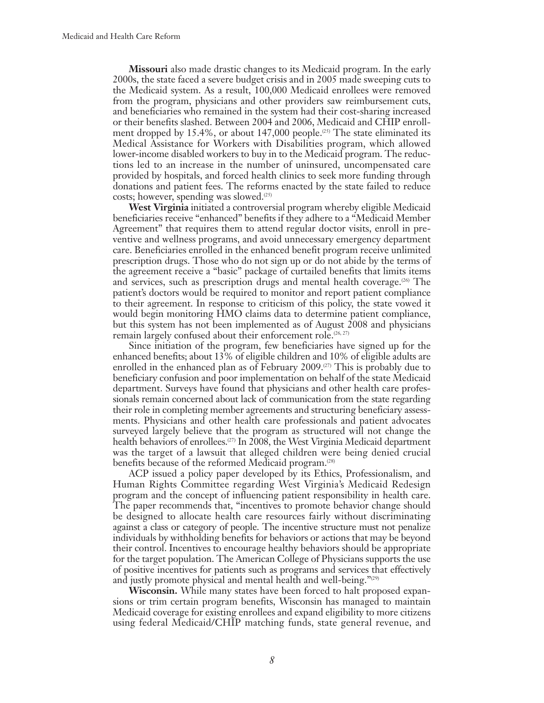**Missouri** also made drastic changes to its Medicaid program. In the early 2000s, the state faced a severe budget crisis and in 2005 made sweeping cuts to the Medicaid system. As a result, 100,000 Medicaid enrollees were removed from the program, physicians and other providers saw reimbursement cuts, and beneficiaries who remained in the system had their cost-sharing increased or their benefits slashed. Between 2004 and 2006, Medicaid and CHIP enrollment dropped by 15.4%, or about 147,000 people.<sup> $(25)$ </sup> The state eliminated its Medical Assistance for Workers with Disabilities program, which allowed lower-income disabled workers to buy in to the Medicaid program. The reductions led to an increase in the number of uninsured, uncompensated care provided by hospitals, and forced health clinics to seek more funding through donations and patient fees. The reforms enacted by the state failed to reduce costs; however, spending was slowed. $(25)$ 

**West Virginia** initiated a controversial program whereby eligible Medicaid beneficiaries receive "enhanced" benefits if they adhere to a "Medicaid Member Agreement" that requires them to attend regular doctor visits, enroll in preventive and wellness programs, and avoid unnecessary emergency department care. Beneficiaries enrolled in the enhanced benefit program receive unlimited prescription drugs. Those who do not sign up or do not abide by the terms of the agreement receive a "basic" package of curtailed benefits that limits items and services, such as prescription drugs and mental health coverage.<sup> $(26)$ </sup> The patient's doctors would be required to monitor and report patient compliance to their agreement. In response to criticism of this policy, the state vowed it would begin monitoring HMO claims data to determine patient compliance, but this system has not been implemented as of August 2008 and physicians remain largely confused about their enforcement role.<sup>(26, 27)</sup>

Since initiation of the program, few beneficiaries have signed up for the enhanced benefits; about 13% of eligible children and 10% of eligible adults are enrolled in the enhanced plan as of February 2009.<sup> $(27)$ </sup> This is probably due to beneficiary confusion and poor implementation on behalf of the state Medicaid department. Surveys have found that physicians and other health care professionals remain concerned about lack of communication from the state regarding their role in completing member agreements and structuring beneficiary assessments. Physicians and other health care professionals and patient advocates surveyed largely believe that the program as structured will not change the health behaviors of enrollees.(27) In 2008, the West Virginia Medicaid department was the target of a lawsuit that alleged children were being denied crucial benefits because of the reformed Medicaid program.<sup>(28)</sup>

ACP issued a policy paper developed by its Ethics, Professionalism, and Human Rights Committee regarding West Virginia's Medicaid Redesign program and the concept of influencing patient responsibility in health care. The paper recommends that, "incentives to promote behavior change should be designed to allocate health care resources fairly without discriminating against a class or category of people. The incentive structure must not penalize individuals by withholding benefits for behaviors or actions that may be beyond their control. Incentives to encourage healthy behaviors should be appropriate for the target population. The American College of Physicians supports the use of positive incentives for patients such as programs and services that effectively and justly promote physical and mental health and well-being."<sup>(29)</sup>

**Wisconsin.** While many states have been forced to halt proposed expansions or trim certain program benefits, Wisconsin has managed to maintain Medicaid coverage for existing enrollees and expand eligibility to more citizens using federal Medicaid/CHIP matching funds, state general revenue, and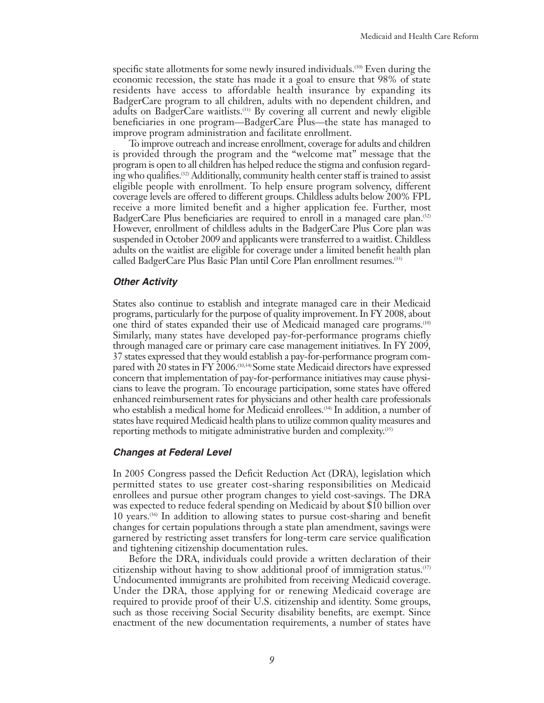specific state allotments for some newly insured individuals.<sup>(30)</sup> Even during the economic recession, the state has made it a goal to ensure that 98% of state residents have access to affordable health insurance by expanding its BadgerCare program to all children, adults with no dependent children, and adults on BadgerCare waitlists.(31) By covering all current and newly eligible beneficiaries in one program—BadgerCare Plus—the state has managed to improve program administration and facilitate enrollment.

To improve outreach and increase enrollment, coverage for adults and children is provided through the program and the "welcome mat" message that the program is open to all children has helped reduce the stigma and confusion regarding who qualifies.<sup>(32)</sup> Additionally, community health center staff is trained to assist eligible people with enrollment. To help ensure program solvency, different coverage levels are offered to different groups. Childless adults below 200% FPL receive a more limited benefit and a higher application fee. Further, most BadgerCare Plus beneficiaries are required to enroll in a managed care plan.(32) However, enrollment of childless adults in the BadgerCare Plus Core plan was suspended in October 2009 and applicants were transferred to a waitlist. Childless adults on the waitlist are eligible for coverage under a limited benefit health plan called BadgerCare Plus Basic Plan until Core Plan enrollment resumes.(33)

#### *Other Activity*

States also continue to establish and integrate managed care in their Medicaid programs, particularly for the purpose of quality improvement. In FY 2008, about one third of states expanded their use of Medicaid managed care programs.(10) Similarly, many states have developed pay-for-performance programs chiefly through managed care or primary care case management initiatives. In FY 2009, 37 states expressed that they would establish a pay-for-performance program compared with 20 states in FY 2006.(10,34) Some state Medicaid directors have expressed concern that implementation of pay-for-performance initiatives may cause physicians to leave the program. To encourage participation, some states have offered enhanced reimbursement rates for physicians and other health care professionals who establish a medical home for Medicaid enrollees.<sup>(34)</sup> In addition, a number of states have required Medicaid health plans to utilize common quality measures and reporting methods to mitigate administrative burden and complexity.(35)

#### *Changes at Federal Level*

In 2005 Congress passed the Deficit Reduction Act (DRA), legislation which permitted states to use greater cost-sharing responsibilities on Medicaid enrollees and pursue other program changes to yield cost-savings. The DRA was expected to reduce federal spending on Medicaid by about \$10 billion over 10 years. $(36)$  In addition to allowing states to pursue cost-sharing and benefit changes for certain populations through a state plan amendment, savings were garnered by restricting asset transfers for long-term care service qualification and tightening citizenship documentation rules.

Before the DRA, individuals could provide a written declaration of their citizenship without having to show additional proof of immigration status.<sup> $(37)$ </sup> Undocumented immigrants are prohibited from receiving Medicaid coverage. Under the DRA, those applying for or renewing Medicaid coverage are required to provide proof of their U.S. citizenship and identity. Some groups, such as those receiving Social Security disability benefits, are exempt. Since enactment of the new documentation requirements, a number of states have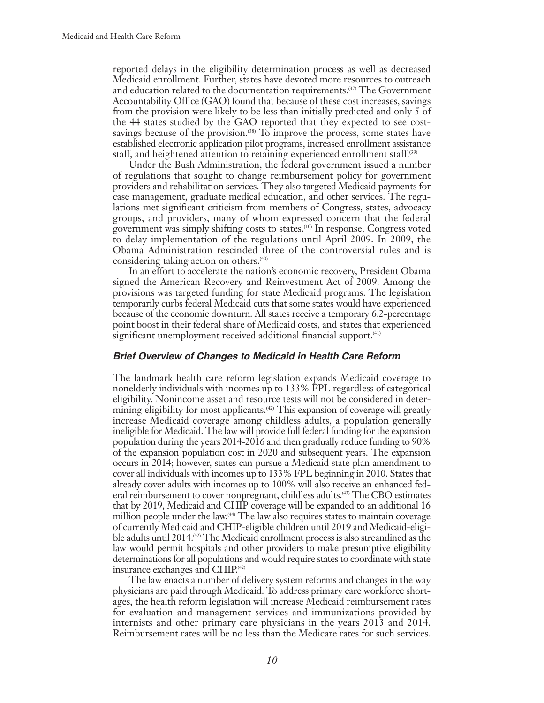reported delays in the eligibility determination process as well as decreased Medicaid enrollment. Further, states have devoted more resources to outreach and education related to the documentation requirements.(37) The Government Accountability Office (GAO) found that because of these cost increases, savings from the provision were likely to be less than initially predicted and only 5 of the 44 states studied by the GAO reported that they expected to see costsavings because of the provision.<sup> $(38)$ </sup> To improve the process, some states have established electronic application pilot programs, increased enrollment assistance staff, and heightened attention to retaining experienced enrollment staff.<sup>(39)</sup>

Under the Bush Administration, the federal government issued a number of regulations that sought to change reimbursement policy for government providers and rehabilitation services. They also targeted Medicaid payments for case management, graduate medical education, and other services. The regulations met significant criticism from members of Congress, states, advocacy groups, and providers, many of whom expressed concern that the federal government was simply shifting costs to states.(10) In response, Congress voted to delay implementation of the regulations until April 2009. In 2009, the Obama Administration rescinded three of the controversial rules and is considering taking action on others.<sup>(40)</sup>

In an effort to accelerate the nation's economic recovery, President Obama signed the American Recovery and Reinvestment Act of 2009. Among the provisions was targeted funding for state Medicaid programs. The legislation temporarily curbs federal Medicaid cuts that some states would have experienced because of the economic downturn. All states receive a temporary 6.2-percentage point boost in their federal share of Medicaid costs, and states that experienced significant unemployment received additional financial support.<sup>(41)</sup>

#### *Brief Overview of Changes to Medicaid in Health Care Reform*

The landmark health care reform legislation expands Medicaid coverage to nonelderly individuals with incomes up to 133% FPL regardless of categorical eligibility. Nonincome asset and resource tests will not be considered in determining eligibility for most applicants.<sup>(42)</sup> This expansion of coverage will greatly increase Medicaid coverage among childless adults, a population generally ineligible for Medicaid. The law will provide full federal funding for the expansion population during the years 2014-2016 and then gradually reduce funding to 90% of the expansion population cost in 2020 and subsequent years. The expansion occurs in 2014; however, states can pursue a Medicaid state plan amendment to cover all individuals with incomes up to 133% FPL beginning in 2010. States that already cover adults with incomes up to 100% will also receive an enhanced federal reimbursement to cover nonpregnant, childless adults.(43) The CBO estimates that by 2019, Medicaid and CHIP coverage will be expanded to an additional 16 million people under the law.(44) The law also requires states to maintain coverage of currently Medicaid and CHIP-eligible children until 2019 and Medicaid-eligible adults until 2014.(42) The Medicaid enrollment process is also streamlined as the law would permit hospitals and other providers to make presumptive eligibility determinations for all populations and would require states to coordinate with state insurance exchanges and CHIP.(42)

The law enacts a number of delivery system reforms and changes in the way physicians are paid through Medicaid. To address primary care workforce shortages, the health reform legislation will increase Medicaid reimbursement rates for evaluation and management services and immunizations provided by internists and other primary care physicians in the years 2013 and 2014. Reimbursement rates will be no less than the Medicare rates for such services.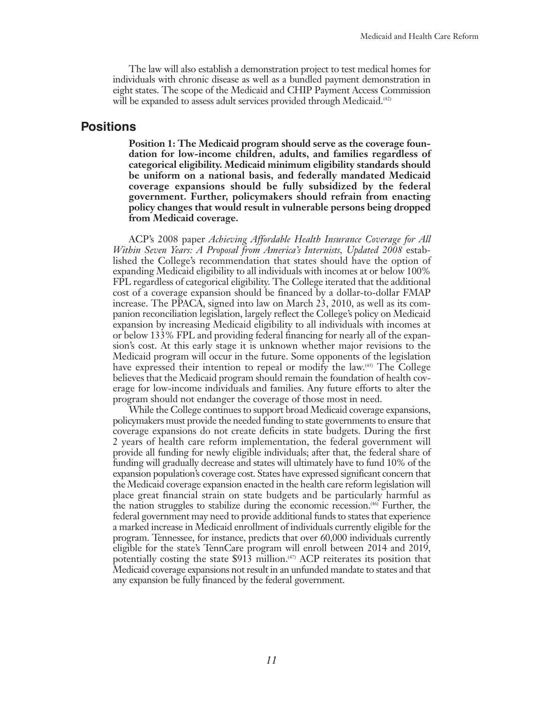The law will also establish a demonstration project to test medical homes for individuals with chronic disease as well as a bundled payment demonstration in eight states. The scope of the Medicaid and CHIP Payment Access Commission will be expanded to assess adult services provided through Medicaid.<sup>(42)</sup>

#### **Positions**

**Position 1: The Medicaid program should serve as the coverage foundation for low-income children, adults, and families regardless of categorical eligibility. Medicaid minimum eligibility standards should be uniform on a national basis, and federally mandated Medicaid coverage expansions should be fully subsidized by the federal government. Further, policymakers should refrain from enacting policy changes that would result in vulnerable persons being dropped from Medicaid coverage.**

ACP's 2008 paper *Achieving Affordable Health Insurance Coverage for All Within Seven Years: A Proposal from America's Internists, Updated 2008* established the College's recommendation that states should have the option of expanding Medicaid eligibility to all individuals with incomes at or below 100% FPL regardless of categorical eligibility. The College iterated that the additional cost of a coverage expansion should be financed by a dollar-to-dollar FMAP increase. The PPACA, signed into law on March 23, 2010, as well as its companion reconciliation legislation, largely reflect the College's policy on Medicaid expansion by increasing Medicaid eligibility to all individuals with incomes at or below 133% FPL and providing federal financing for nearly all of the expansion's cost. At this early stage it is unknown whether major revisions to the Medicaid program will occur in the future. Some opponents of the legislation have expressed their intention to repeal or modify the law.<sup>(45)</sup> The College believes that the Medicaid program should remain the foundation of health coverage for low-income individuals and families. Any future efforts to alter the program should not endanger the coverage of those most in need.

While the College continues to support broad Medicaid coverage expansions, policymakers must provide the needed funding to state governments to ensure that coverage expansions do not create deficits in state budgets. During the first 2 years of health care reform implementation, the federal government will provide all funding for newly eligible individuals; after that, the federal share of funding will gradually decrease and states will ultimately have to fund 10% of the expansion population's coverage cost. States have expressed significant concern that the Medicaid coverage expansion enacted in the health care reform legislation will place great financial strain on state budgets and be particularly harmful as the nation struggles to stabilize during the economic recession.(46) Further, the federal government may need to provide additional funds to states that experience a marked increase in Medicaid enrollment of individuals currently eligible for the program. Tennessee, for instance, predicts that over 60,000 individuals currently eligible for the state's TennCare program will enroll between 2014 and 2019, potentially costing the state  $$91\overline{3}$  million.<sup>(47)</sup> ACP reiterates its position that Medicaid coverage expansions not result in an unfunded mandate to states and that any expansion be fully financed by the federal government.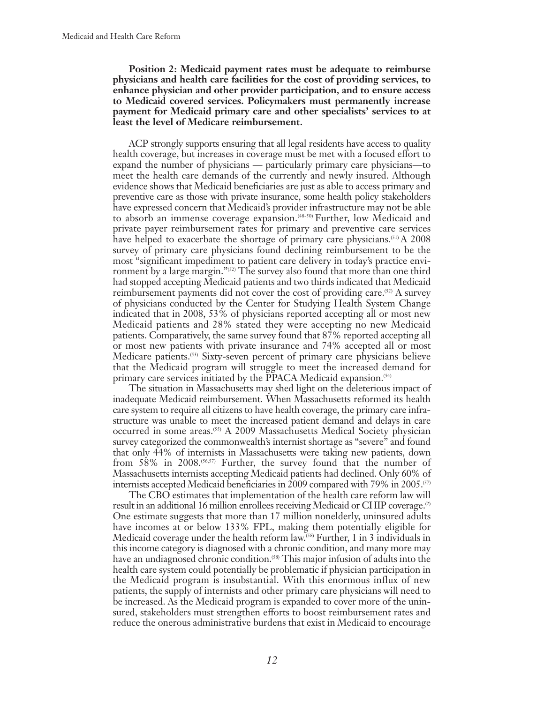**Position 2: Medicaid payment rates must be adequate to reimburse physicians and health care facilities for the cost of providing services, to enhance physician and other provider participation, and to ensure access to Medicaid covered services. Policymakers must permanently increase payment for Medicaid primary care and other specialists' services to at least the level of Medicare reimbursement.**

ACP strongly supports ensuring that all legal residents have access to quality health coverage, but increases in coverage must be met with a focused effort to expand the number of physicians — particularly primary care physicians—to meet the health care demands of the currently and newly insured. Although evidence shows that Medicaid beneficiaries are just as able to access primary and preventive care as those with private insurance, some health policy stakeholders have expressed concern that Medicaid's provider infrastructure may not be able to absorb an immense coverage expansion.<sup>(48-50)</sup> Further, low Medicaid and private payer reimbursement rates for primary and preventive care services have helped to exacerbate the shortage of primary care physicians.<sup>(51)</sup> A 2008 survey of primary care physicians found declining reimbursement to be the most "significant impediment to patient care delivery in today's practice environment by a large margin."<sup>(52)</sup> The survey also found that more than one third had stopped accepting Medicaid patients and two thirds indicated that Medicaid reimbursement payments did not cover the cost of providing care.(52) A survey of physicians conducted by the Center for Studying Health System Change indicated that in 2008, 53% of physicians reported accepting all or most new Medicaid patients and 28% stated they were accepting no new Medicaid patients. Comparatively, the same survey found that 87% reported accepting all or most new patients with private insurance and 74% accepted all or most Medicare patients.(53) Sixty-seven percent of primary care physicians believe that the Medicaid program will struggle to meet the increased demand for primary care services initiated by the PPACA Medicaid expansion.<sup>(54)</sup>

The situation in Massachusetts may shed light on the deleterious impact of inadequate Medicaid reimbursement. When Massachusetts reformed its health care system to require all citizens to have health coverage, the primary care infrastructure was unable to meet the increased patient demand and delays in care occurred in some areas.<sup>(55)</sup> A 2009 Massachusetts Medical Society physician survey categorized the commonwealth's internist shortage as "severe" and found that only 44% of internists in Massachusetts were taking new patients, down from  $58\%$  in  $2008$ .<sup> $(56,57)$ </sup> Further, the survey found that the number of Massachusetts internists accepting Medicaid patients had declined. Only 60% of internists accepted Medicaid beneficiaries in 2009 compared with 79% in 2005.(57)

The CBO estimates that implementation of the health care reform law will result in an additional 16 million enrollees receiving Medicaid or CHIP coverage.<sup>(2)</sup> One estimate suggests that more than 17 million nonelderly, uninsured adults have incomes at or below 133% FPL, making them potentially eligible for Medicaid coverage under the health reform law.(58) Further, 1 in 3 individuals in this income category is diagnosed with a chronic condition, and many more may have an undiagnosed chronic condition.<sup>(58)</sup> This major infusion of adults into the health care system could potentially be problematic if physician participation in the Medicaid program is insubstantial. With this enormous influx of new patients, the supply of internists and other primary care physicians will need to be increased. As the Medicaid program is expanded to cover more of the uninsured, stakeholders must strengthen efforts to boost reimbursement rates and reduce the onerous administrative burdens that exist in Medicaid to encourage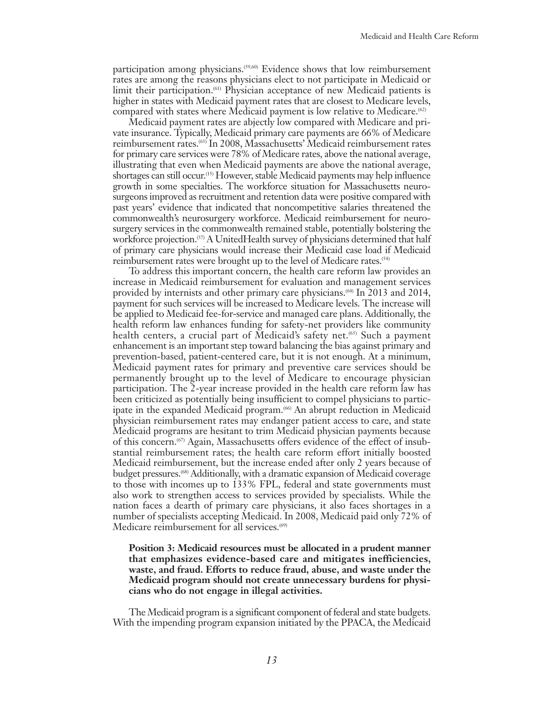participation among physicians.(59,60) Evidence shows that low reimbursement rates are among the reasons physicians elect to not participate in Medicaid or limit their participation.(61) Physician acceptance of new Medicaid patients is higher in states with Medicaid payment rates that are closest to Medicare levels, compared with states where Medicaid payment is low relative to Medicare.<sup>(62)</sup>

Medicaid payment rates are abjectly low compared with Medicare and private insurance. Typically, Medicaid primary care payments are 66% of Medicare reimbursement rates.(63) In 2008, Massachusetts' Medicaid reimbursement rates for primary care services were 78% of Medicare rates, above the national average, illustrating that even when Medicaid payments are above the national average, shortages can still occur.(15) However, stable Medicaid payments may help influence growth in some specialties. The workforce situation for Massachusetts neurosurgeons improved as recruitment and retention data were positive compared with past years' evidence that indicated that noncompetitive salaries threatened the commonwealth's neurosurgery workforce. Medicaid reimbursement for neurosurgery services in the commonwealth remained stable, potentially bolstering the workforce projection.<sup>(57)</sup> A UnitedHealth survey of physicians determined that half of primary care physicians would increase their Medicaid case load if Medicaid reimbursement rates were brought up to the level of Medicare rates.(54)

To address this important concern, the health care reform law provides an increase in Medicaid reimbursement for evaluation and management services provided by internists and other primary care physicians.<sup>(64)</sup> In 2013 and 2014, payment for such services will be increased to Medicare levels. The increase will be applied to Medicaid fee-for-service and managed care plans. Additionally, the health reform law enhances funding for safety-net providers like community health centers, a crucial part of Medicaid's safety net.<sup>(65)</sup> Such a payment enhancement is an important step toward balancing the bias against primary and prevention-based, patient-centered care, but it is not enough. At a minimum, Medicaid payment rates for primary and preventive care services should be permanently brought up to the level of Medicare to encourage physician participation. The 2-year increase provided in the health care reform law has been criticized as potentially being insufficient to compel physicians to participate in the expanded Medicaid program.<sup>(66)</sup> An abrupt reduction in Medicaid physician reimbursement rates may endanger patient access to care, and state Medicaid programs are hesitant to trim Medicaid physician payments because of this concern.(67) Again, Massachusetts offers evidence of the effect of insubstantial reimbursement rates; the health care reform effort initially boosted Medicaid reimbursement, but the increase ended after only 2 years because of budget pressures.<sup>(68)</sup> Additionally, with a dramatic expansion of Medicaid coverage to those with incomes up to 133% FPL, federal and state governments must also work to strengthen access to services provided by specialists. While the nation faces a dearth of primary care physicians, it also faces shortages in a number of specialists accepting Medicaid. In 2008, Medicaid paid only 72% of Medicare reimbursement for all services.<sup>(69)</sup>

#### **Position 3: Medicaid resources must be allocated in a prudent manner that emphasizes evidence-based care and mitigates inefficiencies, waste, and fraud. Efforts to reduce fraud, abuse, and waste under the Medicaid program should not create unnecessary burdens for physicians who do not engage in illegal activities.**

The Medicaid program is a significant component of federal and state budgets. With the impending program expansion initiated by the PPACA, the Medicaid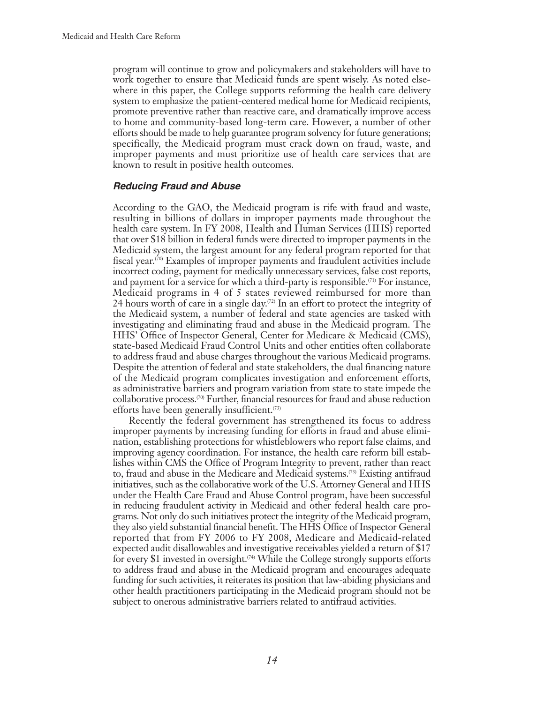program will continue to grow and policymakers and stakeholders will have to work together to ensure that Medicaid funds are spent wisely. As noted elsewhere in this paper, the College supports reforming the health care delivery system to emphasize the patient-centered medical home for Medicaid recipients, promote preventive rather than reactive care, and dramatically improve access to home and community-based long-term care. However, a number of other efforts should be made to help guarantee program solvency for future generations; specifically, the Medicaid program must crack down on fraud, waste, and improper payments and must prioritize use of health care services that are known to result in positive health outcomes.

#### *Reducing Fraud and Abuse*

According to the GAO, the Medicaid program is rife with fraud and waste, resulting in billions of dollars in improper payments made throughout the health care system. In FY 2008, Health and Human Services (HHS) reported that over \$18 billion in federal funds were directed to improper payments in the Medicaid system, the largest amount for any federal program reported for that fiscal year.<sup>(70)</sup> Examples of improper payments and fraudulent activities include incorrect coding, payment for medically unnecessary services, false cost reports, and payment for a service for which a third-party is responsible.<sup> $(71)$ </sup> For instance, Medicaid programs in 4 of 5 states reviewed reimbursed for more than 24 hours worth of care in a single day.<sup> $(72)$ </sup> In an effort to protect the integrity of the Medicaid system, a number of federal and state agencies are tasked with investigating and eliminating fraud and abuse in the Medicaid program. The HHS' Office of Inspector General, Center for Medicare & Medicaid (CMS), state-based Medicaid Fraud Control Units and other entities often collaborate to address fraud and abuse charges throughout the various Medicaid programs. Despite the attention of federal and state stakeholders, the dual financing nature of the Medicaid program complicates investigation and enforcement efforts, as administrative barriers and program variation from state to state impede the collaborative process.(70) Further, financial resources for fraud and abuse reduction efforts have been generally insufficient.(73)

Recently the federal government has strengthened its focus to address improper payments by increasing funding for efforts in fraud and abuse elimination, establishing protections for whistleblowers who report false claims, and improving agency coordination. For instance, the health care reform bill establishes within CMS the Office of Program Integrity to prevent, rather than react to, fraud and abuse in the Medicare and Medicaid systems.(73) Existing antifraud initiatives, such as the collaborative work of the U.S. Attorney General and HHS under the Health Care Fraud and Abuse Control program, have been successful in reducing fraudulent activity in Medicaid and other federal health care programs. Not only do such initiatives protect the integrity of the Medicaid program, they also yield substantial financial benefit. The HHS Office of Inspector General reported that from FY 2006 to FY 2008, Medicare and Medicaid-related expected audit disallowables and investigative receivables yielded a return of \$17 for every \$1 invested in oversight.<sup> $(74)$ </sup> While the College strongly supports efforts to address fraud and abuse in the Medicaid program and encourages adequate funding for such activities, it reiterates its position that law-abiding physicians and other health practitioners participating in the Medicaid program should not be subject to onerous administrative barriers related to antifraud activities.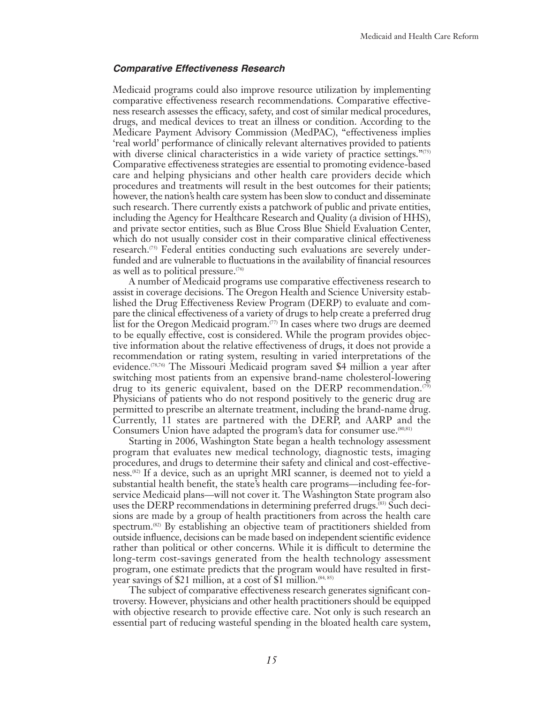#### *Comparative Effectiveness Research*

Medicaid programs could also improve resource utilization by implementing comparative effectiveness research recommendations. Comparative effectiveness research assesses the efficacy, safety, and cost of similar medical procedures, drugs, and medical devices to treat an illness or condition. According to the Medicare Payment Advisory Commission (MedPAC), "effectiveness implies 'real world' performance of clinically relevant alternatives provided to patients with diverse clinical characteristics in a wide variety of practice settings. $\frac{n(s)}{s}$ Comparative effectiveness strategies are essential to promoting evidence-based care and helping physicians and other health care providers decide which procedures and treatments will result in the best outcomes for their patients; however, the nation's health care system has been slow to conduct and disseminate such research. There currently exists a patchwork of public and private entities, including the Agency for Healthcare Research and Quality (a division of HHS), and private sector entities, such as Blue Cross Blue Shield Evaluation Center, which do not usually consider cost in their comparative clinical effectiveness research.(75) Federal entities conducting such evaluations are severely underfunded and are vulnerable to fluctuations in the availability of financial resources as well as to political pressure.(76)

A number of Medicaid programs use comparative effectiveness research to assist in coverage decisions. The Oregon Health and Science University established the Drug Effectiveness Review Program (DERP) to evaluate and compare the clinical effectiveness of a variety of drugs to help create a preferred drug list for the Oregon Medicaid program.<sup>(77)</sup> In cases where two drugs are deemed to be equally effective, cost is considered. While the program provides objective information about the relative effectiveness of drugs, it does not provide a recommendation or rating system, resulting in varied interpretations of the evidence.(78,76) The Missouri Medicaid program saved \$4 million a year after switching most patients from an expensive brand-name cholesterol-lowering drug to its generic equivalent, based on the DERP recommendation.<sup>(79)</sup> Physicians of patients who do not respond positively to the generic drug are permitted to prescribe an alternate treatment, including the brand-name drug. Currently, 11 states are partnered with the DERP, and AARP and the Consumers Union have adapted the program's data for consumer use.<sup>(80,81)</sup>

Starting in 2006, Washington State began a health technology assessment program that evaluates new medical technology, diagnostic tests, imaging procedures, and drugs to determine their safety and clinical and cost-effectiveness.(82) If a device, such as an upright MRI scanner, is deemed not to yield a substantial health benefit, the state's health care programs—including fee-forservice Medicaid plans—will not cover it. The Washington State program also uses the DERP recommendations in determining preferred drugs.(83) Such decisions are made by a group of health practitioners from across the health care spectrum.<sup>(82)</sup> By establishing an objective team of practitioners shielded from outside influence, decisions can be made based on independent scientific evidence rather than political or other concerns. While it is difficult to determine the long-term cost-savings generated from the health technology assessment program, one estimate predicts that the program would have resulted in firstyear savings of \$21 million, at a cost of \$1 million.<sup>(84, 85)</sup>

The subject of comparative effectiveness research generates significant controversy. However, physicians and other health practitioners should be equipped with objective research to provide effective care. Not only is such research an essential part of reducing wasteful spending in the bloated health care system,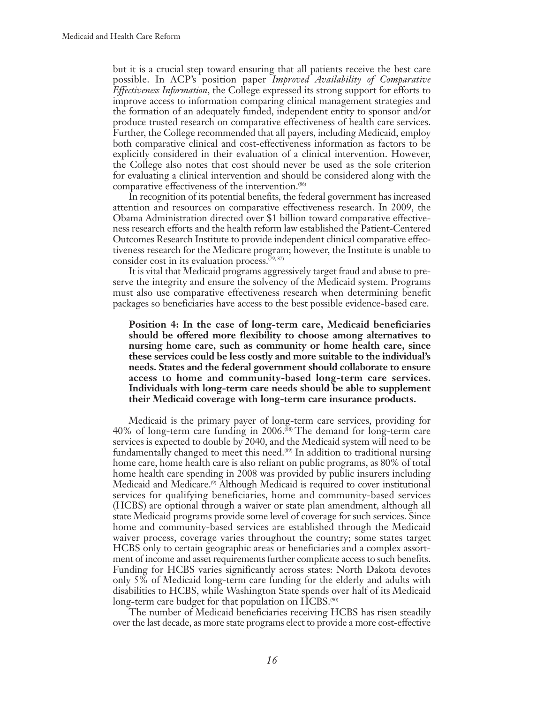but it is a crucial step toward ensuring that all patients receive the best care possible. In ACP's position paper *Improved Availability of Comparative Effectiveness Information*, the College expressed its strong support for efforts to improve access to information comparing clinical management strategies and the formation of an adequately funded, independent entity to sponsor and/or produce trusted research on comparative effectiveness of health care services. Further, the College recommended that all payers, including Medicaid, employ both comparative clinical and cost-effectiveness information as factors to be explicitly considered in their evaluation of a clinical intervention. However, the College also notes that cost should never be used as the sole criterion for evaluating a clinical intervention and should be considered along with the comparative effectiveness of the intervention.<sup>(86)</sup>

In recognition of its potential benefits, the federal government has increased attention and resources on comparative effectiveness research. In 2009, the Obama Administration directed over \$1 billion toward comparative effectiveness research efforts and the health reform law established the Patient-Centered Outcomes Research Institute to provide independent clinical comparative effectiveness research for the Medicare program; however, the Institute is unable to consider cost in its evaluation process. $(79, 87)$ 

It is vital that Medicaid programs aggressively target fraud and abuse to preserve the integrity and ensure the solvency of the Medicaid system. Programs must also use comparative effectiveness research when determining benefit packages so beneficiaries have access to the best possible evidence-based care.

**Position 4: In the case of long-term care, Medicaid beneficiaries should be offered more flexibility to choose among alternatives to nursing home care, such as community or home health care, since these services could be less costly and more suitable to the individual's needs. States and the federal government should collaborate to ensure access to home and community-based long-term care services. Individuals with long-term care needs should be able to supplement their Medicaid coverage with long-term care insurance products.**

Medicaid is the primary payer of long-term care services, providing for 40% of long-term care funding in 2006.(88) The demand for long-term care services is expected to double by 2040, and the Medicaid system will need to be fundamentally changed to meet this need.(89) In addition to traditional nursing home care, home health care is also reliant on public programs, as 80% of total home health care spending in 2008 was provided by public insurers including Medicaid and Medicare.(9) Although Medicaid is required to cover institutional services for qualifying beneficiaries, home and community-based services (HCBS) are optional through a waiver or state plan amendment, although all state Medicaid programs provide some level of coverage for such services. Since home and community-based services are established through the Medicaid waiver process, coverage varies throughout the country; some states target HCBS only to certain geographic areas or beneficiaries and a complex assortment of income and asset requirements further complicate access to such benefits. Funding for HCBS varies significantly across states: North Dakota devotes only 5% of Medicaid long-term care funding for the elderly and adults with disabilities to HCBS, while Washington State spends over half of its Medicaid long-term care budget for that population on  $HCBS$ .<sup> $(90)$ </sup>

The number of Medicaid beneficiaries receiving HCBS has risen steadily over the last decade, as more state programs elect to provide a more cost-effective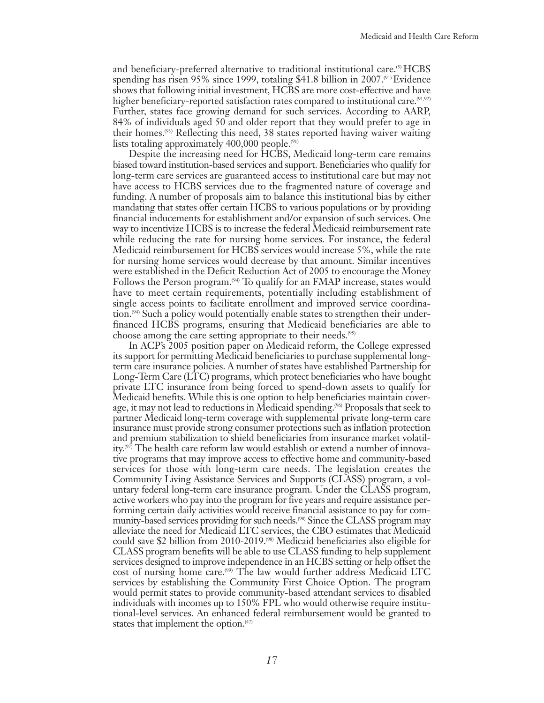and beneficiary-preferred alternative to traditional institutional care.<sup>(5)</sup> HCBS spending has risen 95% since 1999, totaling \$41.8 billion in 2007.<sup>(91)</sup> Evidence shows that following initial investment, HCBS are more cost-effective and have higher beneficiary-reported satisfaction rates compared to institutional care.<sup>(91,92)</sup> Further, states face growing demand for such services. According to AARP, 84% of individuals aged 50 and older report that they would prefer to age in their homes.(93) Reflecting this need, 38 states reported having waiver waiting lists totaling approximately 400,000 people.<sup> $(91)$ </sup>

Despite the increasing need for HCBS, Medicaid long-term care remains biased toward institution-based services and support. Beneficiaries who qualify for long-term care services are guaranteed access to institutional care but may not have access to HCBS services due to the fragmented nature of coverage and funding. A number of proposals aim to balance this institutional bias by either mandating that states offer certain HCBS to various populations or by providing financial inducements for establishment and/or expansion of such services. One way to incentivize HCBS is to increase the federal Medicaid reimbursement rate while reducing the rate for nursing home services. For instance, the federal Medicaid reimbursement for HCBS services would increase 5%, while the rate for nursing home services would decrease by that amount. Similar incentives were established in the Deficit Reduction Act of 2005 to encourage the Money Follows the Person program.<sup>(94)</sup> To qualify for an FMAP increase, states would have to meet certain requirements, potentially including establishment of single access points to facilitate enrollment and improved service coordination.<sup>(94)</sup> Such a policy would potentially enable states to strengthen their underfinanced HCBS programs, ensuring that Medicaid beneficiaries are able to choose among the care setting appropriate to their needs.(95)

In ACP's 2005 position paper on Medicaid reform, the College expressed its support for permitting Medicaid beneficiaries to purchase supplemental longterm care insurance policies. A number of states have established Partnership for Long-Term Care (LTC) programs, which protect beneficiaries who have bought private LTC insurance from being forced to spend-down assets to qualify for Medicaid benefits. While this is one option to help beneficiaries maintain coverage, it may not lead to reductions in Medicaid spending.(96) Proposals that seek to partner Medicaid long-term coverage with supplemental private long-term care insurance must provide strong consumer protections such as inflation protection and premium stabilization to shield beneficiaries from insurance market volatility.(97) The health care reform law would establish or extend a number of innovative programs that may improve access to effective home and community-based services for those with long-term care needs. The legislation creates the Community Living Assistance Services and Supports (CLASS) program, a voluntary federal long-term care insurance program. Under the CLASS program, active workers who pay into the program for five years and require assistance performing certain daily activities would receive financial assistance to pay for community-based services providing for such needs.<sup>(98)</sup> Since the CLASS program may alleviate the need for Medicaid LTC services, the CBO estimates that Medicaid could save \$2 billion from 2010-2019.<sup>(98)</sup> Medicaid beneficiaries also eligible for CLASS program benefits will be able to use CLASS funding to help supplement services designed to improve independence in an HCBS setting or help offset the cost of nursing home care.<sup>(99)</sup> The law would further address Medicaid LTC services by establishing the Community First Choice Option. The program would permit states to provide community-based attendant services to disabled individuals with incomes up to 150% FPL who would otherwise require institutional-level services. An enhanced federal reimbursement would be granted to states that implement the option.<sup>(42)</sup>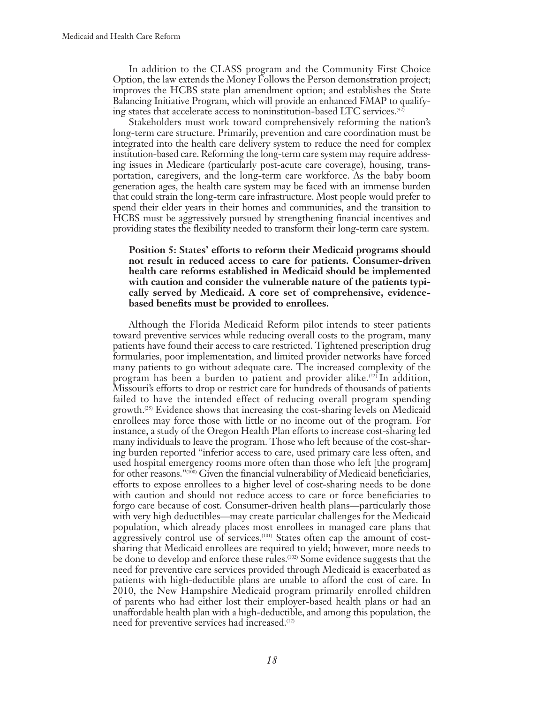In addition to the CLASS program and the Community First Choice Option, the law extends the Money Follows the Person demonstration project; improves the HCBS state plan amendment option; and establishes the State Balancing Initiative Program, which will provide an enhanced FMAP to qualifying states that accelerate access to noninstitution-based LTC services.(42)

Stakeholders must work toward comprehensively reforming the nation's long-term care structure. Primarily, prevention and care coordination must be integrated into the health care delivery system to reduce the need for complex institution-based care. Reforming the long-term care system may require addressing issues in Medicare (particularly post-acute care coverage), housing, transportation, caregivers, and the long-term care workforce. As the baby boom generation ages, the health care system may be faced with an immense burden that could strain the long-term care infrastructure. Most people would prefer to spend their elder years in their homes and communities, and the transition to HCBS must be aggressively pursued by strengthening financial incentives and providing states the flexibility needed to transform their long-term care system.

**Position 5: States' efforts to reform their Medicaid programs should not result in reduced access to care for patients. Consumer-driven health care reforms established in Medicaid should be implemented with caution and consider the vulnerable nature of the patients typically served by Medicaid. A core set of comprehensive, evidencebased benefits must be provided to enrollees.**

Although the Florida Medicaid Reform pilot intends to steer patients toward preventive services while reducing overall costs to the program, many patients have found their access to care restricted. Tightened prescription drug formularies, poor implementation, and limited provider networks have forced many patients to go without adequate care. The increased complexity of the program has been a burden to patient and provider alike.<sup> $(22)$ </sup> In addition, Missouri's efforts to drop or restrict care for hundreds of thousands of patients failed to have the intended effect of reducing overall program spending growth.(25) Evidence shows that increasing the cost-sharing levels on Medicaid enrollees may force those with little or no income out of the program. For instance, a study of the Oregon Health Plan efforts to increase cost-sharing led many individuals to leave the program. Those who left because of the cost-sharing burden reported "inferior access to care, used primary care less often, and used hospital emergency rooms more often than those who left [the program] for other reasons."(100) Given the financial vulnerability of Medicaid beneficiaries, efforts to expose enrollees to a higher level of cost-sharing needs to be done with caution and should not reduce access to care or force beneficiaries to forgo care because of cost. Consumer-driven health plans—particularly those with very high deductibles—may create particular challenges for the Medicaid population, which already places most enrollees in managed care plans that aggressively control use of services.<sup>(101)</sup> States often cap the amount of costsharing that Medicaid enrollees are required to yield; however, more needs to be done to develop and enforce these rules.(102) Some evidence suggests that the need for preventive care services provided through Medicaid is exacerbated as patients with high-deductible plans are unable to afford the cost of care. In 2010, the New Hampshire Medicaid program primarily enrolled children of parents who had either lost their employer-based health plans or had an unaffordable health plan with a high-deductible, and among this population, the need for preventive services had increased.(12)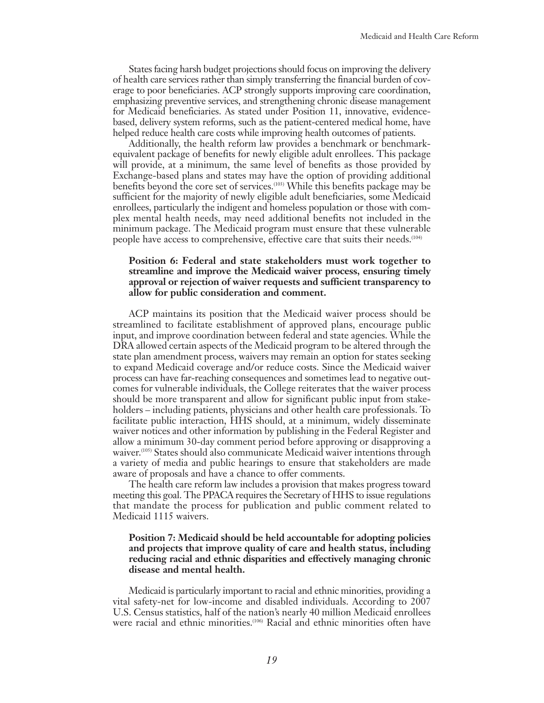States facing harsh budget projections should focus on improving the delivery of health care services rather than simply transferring the financial burden of coverage to poor beneficiaries. ACP strongly supports improving care coordination, emphasizing preventive services, and strengthening chronic disease management for Medicaid beneficiaries. As stated under Position 11, innovative, evidencebased, delivery system reforms, such as the patient-centered medical home, have helped reduce health care costs while improving health outcomes of patients.

Additionally, the health reform law provides a benchmark or benchmarkequivalent package of benefits for newly eligible adult enrollees. This package will provide, at a minimum, the same level of benefits as those provided by Exchange-based plans and states may have the option of providing additional benefits beyond the core set of services.(103) While this benefits package may be sufficient for the majority of newly eligible adult beneficiaries, some Medicaid enrollees, particularly the indigent and homeless population or those with complex mental health needs, may need additional benefits not included in the minimum package. The Medicaid program must ensure that these vulnerable people have access to comprehensive, effective care that suits their needs.<sup>(104)</sup>

#### **Position 6: Federal and state stakeholders must work together to streamline and improve the Medicaid waiver process, ensuring timely approval or rejection of waiver requests and sufficient transparency to allow for public consideration and comment.**

ACP maintains its position that the Medicaid waiver process should be streamlined to facilitate establishment of approved plans, encourage public input, and improve coordination between federal and state agencies. While the DRA allowed certain aspects of the Medicaid program to be altered through the state plan amendment process, waivers may remain an option for states seeking to expand Medicaid coverage and/or reduce costs. Since the Medicaid waiver process can have far-reaching consequences and sometimes lead to negative outcomes for vulnerable individuals, the College reiterates that the waiver process should be more transparent and allow for significant public input from stakeholders – including patients, physicians and other health care professionals. To facilitate public interaction, HHS should, at a minimum, widely disseminate waiver notices and other information by publishing in the Federal Register and allow a minimum 30-day comment period before approving or disapproving a waiver.<sup>(105)</sup> States should also communicate Medicaid waiver intentions through a variety of media and public hearings to ensure that stakeholders are made aware of proposals and have a chance to offer comments.

The health care reform law includes a provision that makes progress toward meeting this goal. The PPACA requires the Secretary of HHS to issue regulations that mandate the process for publication and public comment related to Medicaid 1115 waivers.

#### **Position 7: Medicaid should be held accountable for adopting policies and projects that improve quality of care and health status, including reducing racial and ethnic disparities and effectively managing chronic disease and mental health.**

Medicaid is particularly important to racial and ethnic minorities, providing a vital safety-net for low-income and disabled individuals. According to 2007 U.S. Census statistics, half of the nation's nearly 40 million Medicaid enrollees were racial and ethnic minorities.(106) Racial and ethnic minorities often have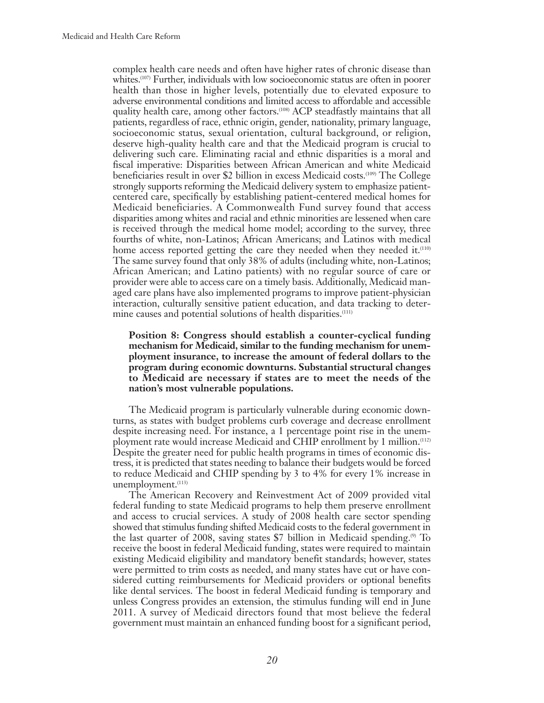complex health care needs and often have higher rates of chronic disease than whites.<sup>(107)</sup> Further, individuals with low socioeconomic status are often in poorer health than those in higher levels, potentially due to elevated exposure to adverse environmental conditions and limited access to affordable and accessible quality health care, among other factors.<sup>(108)</sup> ACP steadfastly maintains that all patients, regardless of race, ethnic origin, gender, nationality, primary language, socioeconomic status, sexual orientation, cultural background, or religion, deserve high-quality health care and that the Medicaid program is crucial to delivering such care. Eliminating racial and ethnic disparities is a moral and fiscal imperative: Disparities between African American and white Medicaid beneficiaries result in over \$2 billion in excess Medicaid costs.<sup>(109)</sup> The College strongly supports reforming the Medicaid delivery system to emphasize patientcentered care, specifically by establishing patient-centered medical homes for Medicaid beneficiaries. A Commonwealth Fund survey found that access disparities among whites and racial and ethnic minorities are lessened when care is received through the medical home model; according to the survey, three fourths of white, non-Latinos; African Americans; and Latinos with medical home access reported getting the care they needed when they needed it.<sup>(110)</sup> The same survey found that only 38% of adults (including white, non-Latinos; African American; and Latino patients) with no regular source of care or provider were able to access care on a timely basis. Additionally, Medicaid managed care plans have also implemented programs to improve patient-physician interaction, culturally sensitive patient education, and data tracking to determine causes and potential solutions of health disparities.<sup>(111)</sup>

#### **Position 8: Congress should establish a counter-cyclical funding mechanism for Medicaid, similar to the funding mechanism for unemployment insurance, to increase the amount of federal dollars to the program during economic downturns. Substantial structural changes to Medicaid are necessary if states are to meet the needs of the nation's most vulnerable populations.**

The Medicaid program is particularly vulnerable during economic downturns, as states with budget problems curb coverage and decrease enrollment despite increasing need. For instance, a 1 percentage point rise in the unemployment rate would increase Medicaid and CHIP enrollment by 1 million.(112) Despite the greater need for public health programs in times of economic distress, it is predicted that states needing to balance their budgets would be forced to reduce Medicaid and CHIP spending by 3 to 4% for every 1% increase in unemployment.<sup>(113)</sup>

The American Recovery and Reinvestment Act of 2009 provided vital federal funding to state Medicaid programs to help them preserve enrollment and access to crucial services. A study of 2008 health care sector spending showed that stimulus funding shifted Medicaid costs to the federal government in the last quarter of 2008, saving states \$7 billion in Medicaid spending.<sup>(9)</sup> To receive the boost in federal Medicaid funding, states were required to maintain existing Medicaid eligibility and mandatory benefit standards; however, states were permitted to trim costs as needed, and many states have cut or have considered cutting reimbursements for Medicaid providers or optional benefits like dental services. The boost in federal Medicaid funding is temporary and unless Congress provides an extension, the stimulus funding will end in June 2011. A survey of Medicaid directors found that most believe the federal government must maintain an enhanced funding boost for a significant period,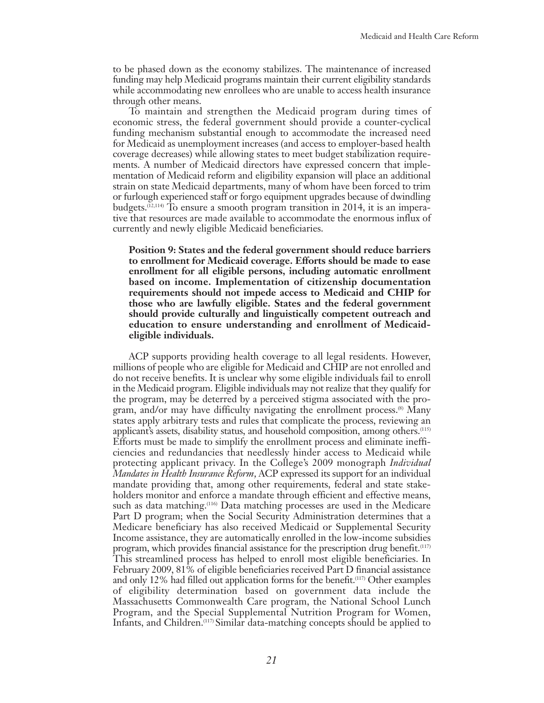to be phased down as the economy stabilizes. The maintenance of increased funding may help Medicaid programs maintain their current eligibility standards while accommodating new enrollees who are unable to access health insurance through other means.

To maintain and strengthen the Medicaid program during times of economic stress, the federal government should provide a counter-cyclical funding mechanism substantial enough to accommodate the increased need for Medicaid as unemployment increases (and access to employer-based health coverage decreases) while allowing states to meet budget stabilization requirements. A number of Medicaid directors have expressed concern that implementation of Medicaid reform and eligibility expansion will place an additional strain on state Medicaid departments, many of whom have been forced to trim or furlough experienced staff or forgo equipment upgrades because of dwindling budgets.<sup>(12,114)</sup> To ensure a smooth program transition in 2014, it is an imperative that resources are made available to accommodate the enormous influx of currently and newly eligible Medicaid beneficiaries.

**Position 9: States and the federal government should reduce barriers to enrollment for Medicaid coverage. Efforts should be made to ease enrollment for all eligible persons, including automatic enrollment based on income. Implementation of citizenship documentation requirements should not impede access to Medicaid and CHIP for those who are lawfully eligible. States and the federal government should provide culturally and linguistically competent outreach and education to ensure understanding and enrollment of Medicaideligible individuals.**

ACP supports providing health coverage to all legal residents. However, millions of people who are eligible for Medicaid and CHIP are not enrolled and do not receive benefits. It is unclear why some eligible individuals fail to enroll in the Medicaid program. Eligible individuals may not realize that they qualify for the program, may be deterred by a perceived stigma associated with the program, and/or may have difficulty navigating the enrollment process. $^{(8)}$  Many states apply arbitrary tests and rules that complicate the process, reviewing an applicant's assets, disability status, and household composition, among others.(115) Efforts must be made to simplify the enrollment process and eliminate inefficiencies and redundancies that needlessly hinder access to Medicaid while protecting applicant privacy. In the College's 2009 monograph *Individual Mandates in Health Insurance Reform*, ACP expressed its support for an individual mandate providing that, among other requirements, federal and state stakeholders monitor and enforce a mandate through efficient and effective means, such as data matching.<sup>(116)</sup> Data matching processes are used in the Medicare Part D program; when the Social Security Administration determines that a Medicare beneficiary has also received Medicaid or Supplemental Security Income assistance, they are automatically enrolled in the low-income subsidies program, which provides financial assistance for the prescription drug benefit.<sup>(117)</sup> This streamlined process has helped to enroll most eligible beneficiaries. In February 2009, 81% of eligible beneficiaries received Part D financial assistance and only 12% had filled out application forms for the benefit.(117) Other examples of eligibility determination based on government data include the Massachusetts Commonwealth Care program, the National School Lunch Program, and the Special Supplemental Nutrition Program for Women, Infants, and Children.(117) Similar data-matching concepts should be applied to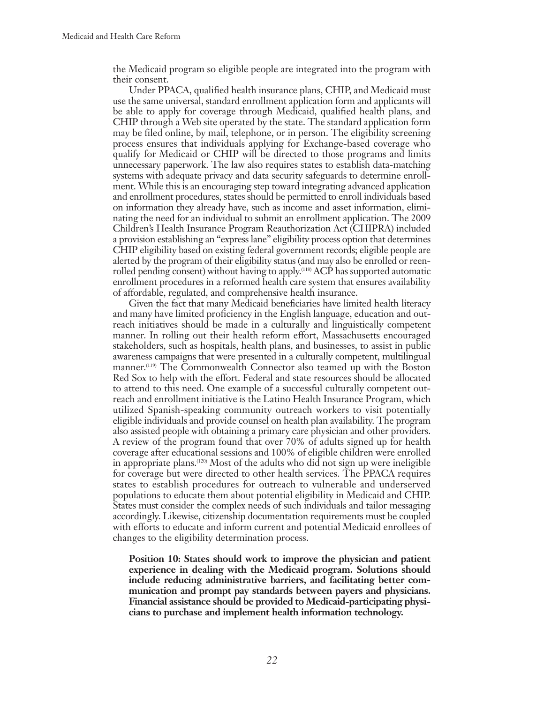the Medicaid program so eligible people are integrated into the program with their consent.

Under PPACA, qualified health insurance plans, CHIP, and Medicaid must use the same universal, standard enrollment application form and applicants will be able to apply for coverage through Medicaid, qualified health plans, and CHIP through a Web site operated by the state. The standard application form may be filed online, by mail, telephone, or in person. The eligibility screening process ensures that individuals applying for Exchange-based coverage who qualify for Medicaid or CHIP will be directed to those programs and limits unnecessary paperwork. The law also requires states to establish data-matching systems with adequate privacy and data security safeguards to determine enrollment. While this is an encouraging step toward integrating advanced application and enrollment procedures, states should be permitted to enroll individuals based on information they already have, such as income and asset information, eliminating the need for an individual to submit an enrollment application. The 2009 Children's Health Insurance Program Reauthorization Act (CHIPRA) included a provision establishing an "express lane" eligibility process option that determines CHIP eligibility based on existing federal government records; eligible people are alerted by the program of their eligibility status (and may also be enrolled or reenrolled pending consent) without having to apply.<sup>(118)</sup> ACP has supported automatic enrollment procedures in a reformed health care system that ensures availability of affordable, regulated, and comprehensive health insurance.

Given the fact that many Medicaid beneficiaries have limited health literacy and many have limited proficiency in the English language, education and outreach initiatives should be made in a culturally and linguistically competent manner. In rolling out their health reform effort, Massachusetts encouraged stakeholders, such as hospitals, health plans, and businesses, to assist in public awareness campaigns that were presented in a culturally competent, multilingual manner.(119) The Commonwealth Connector also teamed up with the Boston Red Sox to help with the effort. Federal and state resources should be allocated to attend to this need. One example of a successful culturally competent outreach and enrollment initiative is the Latino Health Insurance Program, which utilized Spanish-speaking community outreach workers to visit potentially eligible individuals and provide counsel on health plan availability. The program also assisted people with obtaining a primary care physician and other providers. A review of the program found that over 70% of adults signed up for health coverage after educational sessions and 100% of eligible children were enrolled in appropriate plans.<sup> $(120)$ </sup> Most of the adults who did not sign up were ineligible for coverage but were directed to other health services. The PPACA requires states to establish procedures for outreach to vulnerable and underserved populations to educate them about potential eligibility in Medicaid and CHIP. States must consider the complex needs of such individuals and tailor messaging accordingly. Likewise, citizenship documentation requirements must be coupled with efforts to educate and inform current and potential Medicaid enrollees of changes to the eligibility determination process.

**Position 10: States should work to improve the physician and patient experience in dealing with the Medicaid program. Solutions should include reducing administrative barriers, and facilitating better communication and prompt pay standards between payers and physicians. Financial assistance should be provided to Medicaid-participating physicians to purchase and implement health information technology.**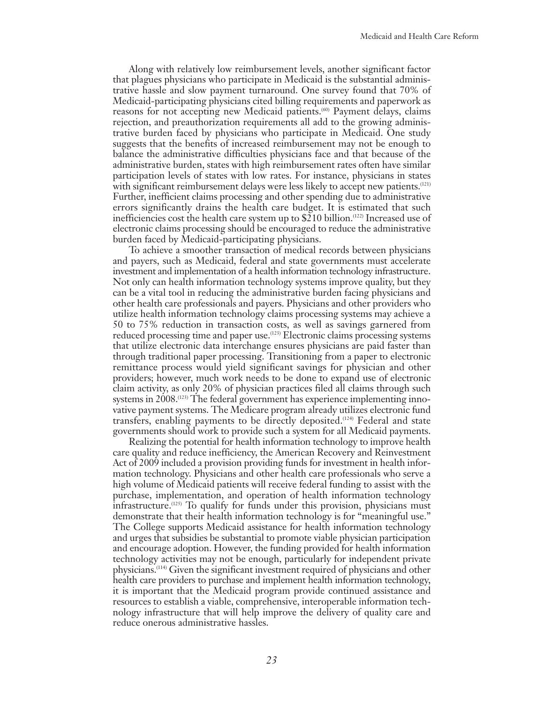Along with relatively low reimbursement levels, another significant factor that plagues physicians who participate in Medicaid is the substantial administrative hassle and slow payment turnaround. One survey found that 70% of Medicaid-participating physicians cited billing requirements and paperwork as reasons for not accepting new Medicaid patients.<sup>(60)</sup> Payment delays, claims rejection, and preauthorization requirements all add to the growing administrative burden faced by physicians who participate in Medicaid. One study suggests that the benefits of increased reimbursement may not be enough to balance the administrative difficulties physicians face and that because of the administrative burden, states with high reimbursement rates often have similar participation levels of states with low rates. For instance, physicians in states with significant reimbursement delays were less likely to accept new patients.<sup>(121)</sup> Further, inefficient claims processing and other spending due to administrative errors significantly drains the health care budget. It is estimated that such inefficiencies cost the health care system up to  $$210$  billion.<sup>(122)</sup> Increased use of electronic claims processing should be encouraged to reduce the administrative burden faced by Medicaid-participating physicians.

To achieve a smoother transaction of medical records between physicians and payers, such as Medicaid, federal and state governments must accelerate investment and implementation of a health information technology infrastructure. Not only can health information technology systems improve quality, but they can be a vital tool in reducing the administrative burden facing physicians and other health care professionals and payers. Physicians and other providers who utilize health information technology claims processing systems may achieve a 50 to 75% reduction in transaction costs, as well as savings garnered from reduced processing time and paper use.<sup>(123)</sup> Electronic claims processing systems that utilize electronic data interchange ensures physicians are paid faster than through traditional paper processing. Transitioning from a paper to electronic remittance process would yield significant savings for physician and other providers; however, much work needs to be done to expand use of electronic claim activity, as only 20% of physician practices filed all claims through such systems in 2008.<sup>(123)</sup> The federal government has experience implementing innovative payment systems. The Medicare program already utilizes electronic fund transfers, enabling payments to be directly deposited.(124) Federal and state governments should work to provide such a system for all Medicaid payments.

Realizing the potential for health information technology to improve health care quality and reduce inefficiency, the American Recovery and Reinvestment Act of 2009 included a provision providing funds for investment in health information technology. Physicians and other health care professionals who serve a high volume of Medicaid patients will receive federal funding to assist with the purchase, implementation, and operation of health information technology infrastructure.(125) To qualify for funds under this provision, physicians must demonstrate that their health information technology is for "meaningful use." The College supports Medicaid assistance for health information technology and urges that subsidies be substantial to promote viable physician participation and encourage adoption. However, the funding provided for health information technology activities may not be enough, particularly for independent private physicians.(114) Given the significant investment required of physicians and other health care providers to purchase and implement health information technology, it is important that the Medicaid program provide continued assistance and resources to establish a viable, comprehensive, interoperable information technology infrastructure that will help improve the delivery of quality care and reduce onerous administrative hassles.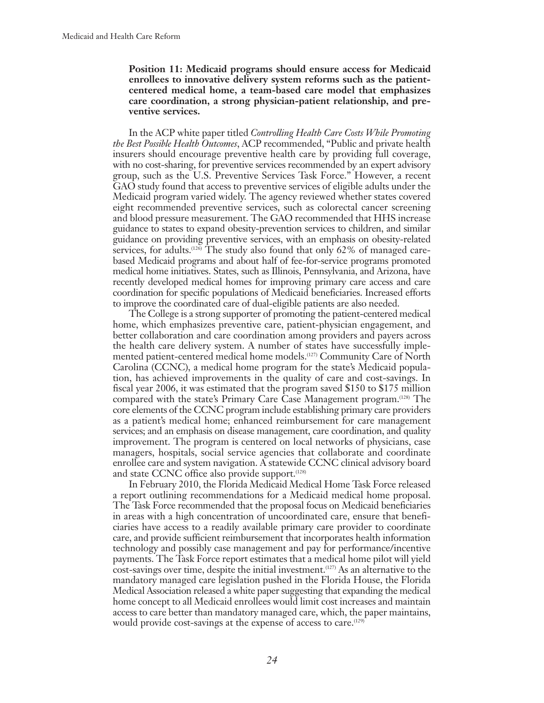**Position 11: Medicaid programs should ensure access for Medicaid enrollees to innovative delivery system reforms such as the patientcentered medical home, a team-based care model that emphasizes care coordination, a strong physician-patient relationship, and preventive services.**

In the ACP white paper titled *Controlling Health Care Costs While Promoting the Best Possible Health Outcomes*, ACP recommended, "Public and private health insurers should encourage preventive health care by providing full coverage, with no cost-sharing, for preventive services recommended by an expert advisory group, such as the U.S. Preventive Services Task Force." However, a recent GAO study found that access to preventive services of eligible adults under the Medicaid program varied widely. The agency reviewed whether states covered eight recommended preventive services, such as colorectal cancer screening and blood pressure measurement. The GAO recommended that HHS increase guidance to states to expand obesity-prevention services to children, and similar guidance on providing preventive services, with an emphasis on obesity-related services, for adults.<sup> $(126)$ </sup> The study also found that only 62% of managed carebased Medicaid programs and about half of fee-for-service programs promoted medical home initiatives. States, such as Illinois, Pennsylvania, and Arizona, have recently developed medical homes for improving primary care access and care coordination for specific populations of Medicaid beneficiaries. Increased efforts to improve the coordinated care of dual-eligible patients are also needed.

The College is a strong supporter of promoting the patient-centered medical home, which emphasizes preventive care, patient-physician engagement, and better collaboration and care coordination among providers and payers across the health care delivery system. A number of states have successfully implemented patient-centered medical home models.(127) Community Care of North Carolina (CCNC), a medical home program for the state's Medicaid population, has achieved improvements in the quality of care and cost-savings. In fiscal year 2006, it was estimated that the program saved \$150 to \$175 million compared with the state's Primary Care Case Management program.(128) The core elements of the CCNC program include establishing primary care providers as a patient's medical home; enhanced reimbursement for care management services; and an emphasis on disease management, care coordination, and quality improvement. The program is centered on local networks of physicians, case managers, hospitals, social service agencies that collaborate and coordinate enrollee care and system navigation. A statewide CCNC clinical advisory board and state CCNC office also provide support.<sup>(128)</sup>

In February 2010, the Florida Medicaid Medical Home Task Force released a report outlining recommendations for a Medicaid medical home proposal. The Task Force recommended that the proposal focus on Medicaid beneficiaries in areas with a high concentration of uncoordinated care, ensure that beneficiaries have access to a readily available primary care provider to coordinate care, and provide sufficient reimbursement that incorporates health information technology and possibly case management and pay for performance/incentive payments. The Task Force report estimates that a medical home pilot will yield cost-savings over time, despite the initial investment.(127) As an alternative to the mandatory managed care legislation pushed in the Florida House, the Florida Medical Association released a white paper suggesting that expanding the medical home concept to all Medicaid enrollees would limit cost increases and maintain access to care better than mandatory managed care, which, the paper maintains, would provide cost-savings at the expense of access to care.<sup>(129)</sup>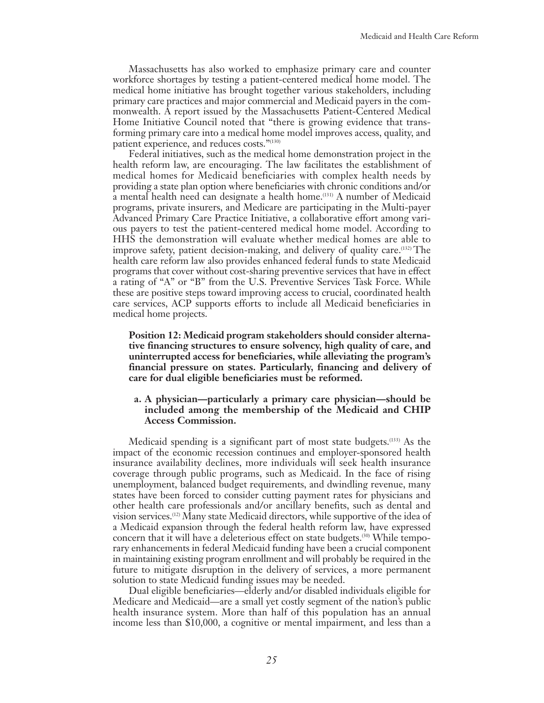Massachusetts has also worked to emphasize primary care and counter workforce shortages by testing a patient-centered medical home model. The medical home initiative has brought together various stakeholders, including primary care practices and major commercial and Medicaid payers in the commonwealth. A report issued by the Massachusetts Patient-Centered Medical Home Initiative Council noted that "there is growing evidence that transforming primary care into a medical home model improves access, quality, and patient experience, and reduces costs."(130)

Federal initiatives, such as the medical home demonstration project in the health reform law, are encouraging. The law facilitates the establishment of medical homes for Medicaid beneficiaries with complex health needs by providing a state plan option where beneficiaries with chronic conditions and/or a mental health need can designate a health home.(131) A number of Medicaid programs, private insurers, and Medicare are participating in the Multi-payer Advanced Primary Care Practice Initiative, a collaborative effort among various payers to test the patient-centered medical home model. According to HHS the demonstration will evaluate whether medical homes are able to improve safety, patient decision-making, and delivery of quality care.(132) The health care reform law also provides enhanced federal funds to state Medicaid programs that cover without cost-sharing preventive services that have in effect a rating of "A" or "B" from the U.S. Preventive Services Task Force. While these are positive steps toward improving access to crucial, coordinated health care services, ACP supports efforts to include all Medicaid beneficiaries in medical home projects.

**Position 12: Medicaid program stakeholders should consider alternative financing structures to ensure solvency, high quality of care, and uninterrupted access for beneficiaries, while alleviating the program's financial pressure on states. Particularly, financing and delivery of care for dual eligible beneficiaries must be reformed.**

#### **a. A physician—particularly a primary care physician—should be included among the membership of the Medicaid and CHIP Access Commission.**

Medicaid spending is a significant part of most state budgets.(133) As the impact of the economic recession continues and employer-sponsored health insurance availability declines, more individuals will seek health insurance coverage through public programs, such as Medicaid. In the face of rising unemployment, balanced budget requirements, and dwindling revenue, many states have been forced to consider cutting payment rates for physicians and other health care professionals and/or ancillary benefits, such as dental and vision services.(12) Many state Medicaid directors, while supportive of the idea of a Medicaid expansion through the federal health reform law, have expressed concern that it will have a deleterious effect on state budgets.<sup>(30)</sup> While temporary enhancements in federal Medicaid funding have been a crucial component in maintaining existing program enrollment and will probably be required in the future to mitigate disruption in the delivery of services, a more permanent solution to state Medicaid funding issues may be needed.

Dual eligible beneficiaries—elderly and/or disabled individuals eligible for Medicare and Medicaid—are a small yet costly segment of the nation's public health insurance system. More than half of this population has an annual income less than \$10,000, a cognitive or mental impairment, and less than a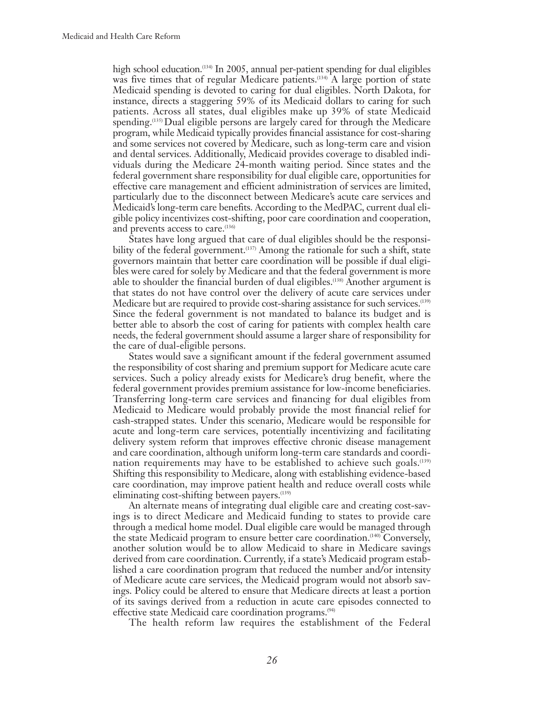high school education.<sup>(134)</sup> In 2005, annual per-patient spending for dual eligibles was five times that of regular Medicare patients.<sup>(134)</sup> A large portion of state Medicaid spending is devoted to caring for dual eligibles. North Dakota, for instance, directs a staggering 59% of its Medicaid dollars to caring for such patients. Across all states, dual eligibles make up 39% of state Medicaid spending.<sup>(135)</sup> Dual eligible persons are largely cared for through the Medicare program, while Medicaid typically provides financial assistance for cost-sharing and some services not covered by Medicare, such as long-term care and vision and dental services. Additionally, Medicaid provides coverage to disabled individuals during the Medicare 24-month waiting period. Since states and the federal government share responsibility for dual eligible care, opportunities for effective care management and efficient administration of services are limited, particularly due to the disconnect between Medicare's acute care services and Medicaid's long-term care benefits. According to the MedPAC, current dual eligible policy incentivizes cost-shifting, poor care coordination and cooperation, and prevents access to care.<sup>(136)</sup>

States have long argued that care of dual eligibles should be the responsibility of the federal government.<sup>(137)</sup> Among the rationale for such a shift, state governors maintain that better care coordination will be possible if dual eligibles were cared for solely by Medicare and that the federal government is more able to shoulder the financial burden of dual eligibles.(138) Another argument is that states do not have control over the delivery of acute care services under Medicare but are required to provide cost-sharing assistance for such services.<sup>(139)</sup> Since the federal government is not mandated to balance its budget and is better able to absorb the cost of caring for patients with complex health care needs, the federal government should assume a larger share of responsibility for the care of dual-eligible persons.

States would save a significant amount if the federal government assumed the responsibility of cost sharing and premium support for Medicare acute care services. Such a policy already exists for Medicare's drug benefit, where the federal government provides premium assistance for low-income beneficiaries. Transferring long-term care services and financing for dual eligibles from Medicaid to Medicare would probably provide the most financial relief for cash-strapped states. Under this scenario, Medicare would be responsible for acute and long-term care services, potentially incentivizing and facilitating delivery system reform that improves effective chronic disease management and care coordination, although uniform long-term care standards and coordination requirements may have to be established to achieve such goals.<sup>(139)</sup> Shifting this responsibility to Medicare, along with establishing evidence-based care coordination, may improve patient health and reduce overall costs while eliminating cost-shifting between payers.<sup>(139)</sup>

An alternate means of integrating dual eligible care and creating cost-savings is to direct Medicare and Medicaid funding to states to provide care through a medical home model. Dual eligible care would be managed through the state Medicaid program to ensure better care coordination.<sup> $(140)$ </sup> Conversely, another solution would be to allow Medicaid to share in Medicare savings derived from care coordination. Currently, if a state's Medicaid program established a care coordination program that reduced the number and/or intensity of Medicare acute care services, the Medicaid program would not absorb savings. Policy could be altered to ensure that Medicare directs at least a portion of its savings derived from a reduction in acute care episodes connected to effective state Medicaid care coordination programs.<sup>(94)</sup>

The health reform law requires the establishment of the Federal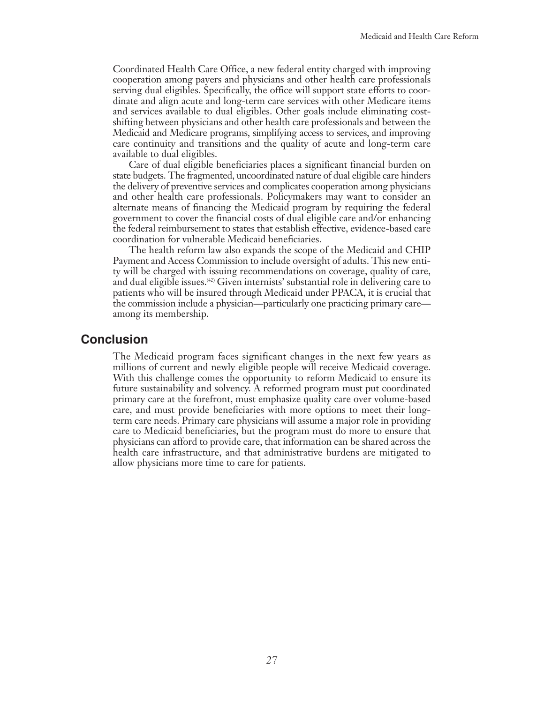Coordinated Health Care Office, a new federal entity charged with improving cooperation among payers and physicians and other health care professionals serving dual eligibles. Specifically, the office will support state efforts to coordinate and align acute and long-term care services with other Medicare items and services available to dual eligibles. Other goals include eliminating costshifting between physicians and other health care professionals and between the Medicaid and Medicare programs, simplifying access to services, and improving care continuity and transitions and the quality of acute and long-term care available to dual eligibles.

Care of dual eligible beneficiaries places a significant financial burden on state budgets. The fragmented, uncoordinated nature of dual eligible care hinders the delivery of preventive services and complicates cooperation among physicians and other health care professionals. Policymakers may want to consider an alternate means of financing the Medicaid program by requiring the federal government to cover the financial costs of dual eligible care and/or enhancing the federal reimbursement to states that establish effective, evidence-based care coordination for vulnerable Medicaid beneficiaries.

The health reform law also expands the scope of the Medicaid and CHIP Payment and Access Commission to include oversight of adults. This new entity will be charged with issuing recommendations on coverage, quality of care, and dual eligible issues.(42) Given internists' substantial role in delivering care to patients who will be insured through Medicaid under PPACA, it is crucial that the commission include a physician—particularly one practicing primary care among its membership.

## **Conclusion**

The Medicaid program faces significant changes in the next few years as millions of current and newly eligible people will receive Medicaid coverage. With this challenge comes the opportunity to reform Medicaid to ensure its future sustainability and solvency. A reformed program must put coordinated primary care at the forefront, must emphasize quality care over volume-based care, and must provide beneficiaries with more options to meet their longterm care needs. Primary care physicians will assume a major role in providing care to Medicaid beneficiaries, but the program must do more to ensure that physicians can afford to provide care, that information can be shared across the health care infrastructure, and that administrative burdens are mitigated to allow physicians more time to care for patients.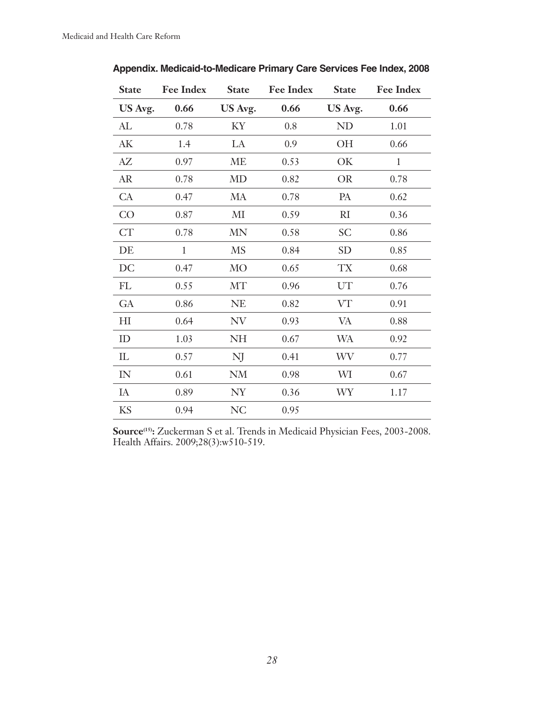| <b>State</b>   | <b>Fee Index</b> | <b>State</b>   | <b>Fee Index</b> | <b>State</b> | <b>Fee Index</b> |
|----------------|------------------|----------------|------------------|--------------|------------------|
| US Avg.        | 0.66             | US Avg.        | 0.66             | US Avg.      | 0.66             |
| ${\rm AL}$     | 0.78             | KY             | 0.8              | <b>ND</b>    | 1.01             |
| AK             | 1.4              | LA             | 0.9              | OH           | 0.66             |
| AZ             | 0.97             | ME             | 0.53             | OK           | $\mathbf{1}$     |
| AR             | 0.78             | <b>MD</b>      | 0.82             | <b>OR</b>    | 0.78             |
| CA             | 0.47             | MA             | 0.78             | PA           | 0.62             |
| CO             | 0.87             | M <sub>I</sub> | 0.59             | RI           | 0.36             |
| <b>CT</b>      | 0.78             | <b>MN</b>      | 0.58             | <b>SC</b>    | 0.86             |
| DE             | $\mathbf{1}$     | <b>MS</b>      | 0.84             | <b>SD</b>    | 0.85             |
| DC             | 0.47             | <b>MO</b>      | 0.65             | TX           | 0.68             |
| FL             | 0.55             | <b>MT</b>      | 0.96             | UT           | 0.76             |
| GA             | 0.86             | <b>NE</b>      | 0.82             | VT           | 0.91             |
| H <sub>I</sub> | 0.64             | NV             | 0.93             | VA           | 0.88             |
| ID             | 1.03             | NH             | 0.67             | <b>WA</b>    | 0.92             |
| IL             | 0.57             | NJ             | 0.41             | WV           | 0.77             |
| ${\rm IN}$     | 0.61             | <b>NM</b>      | 0.98             | WI           | 0.67             |
| IA             | 0.89             | NY             | 0.36             | WY           | 1.17             |
| KS             | 0.94             | <b>NC</b>      | 0.95             |              |                  |

**Appendix. Medicaid-to-Medicare Primary Care Services Fee Index, 2008**

**Source(15):** Zuckerman S et al. Trends in Medicaid Physician Fees, 2003-2008. Health Affairs. 2009;28(3):w510-519.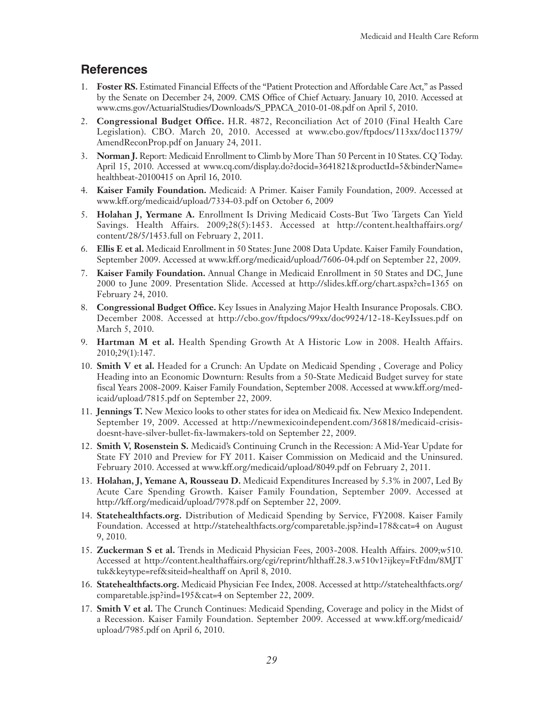# **References**

- 1. **Foster RS.** Estimated Financial Effects of the "Patient Protection and Affordable Care Act," as Passed by the Senate on December 24, 2009. CMS Office of Chief Actuary. January 10, 2010. Accessed at www.cms.gov/ActuarialStudies/Downloads/S\_PPACA\_2010-01-08.pdf on April 5, 2010.
- 2. **Congressional Budget Office.** H.R. 4872, Reconciliation Act of 2010 (Final Health Care Legislation). CBO. March 20, 2010. Accessed at www.cbo.gov/ftpdocs/113xx/doc11379/ AmendReconProp.pdf on January 24, 2011.
- 3. **Norman J.** Report: Medicaid Enrollment to Climb by More Than 50 Percent in 10 States. CQ Today. April 15, 2010. Accessed at www.cq.com/display.do?docid=3641821&productId=5&binderName= healthbeat-20100415 on April 16, 2010.
- 4. **Kaiser Family Foundation.** Medicaid: A Primer. Kaiser Family Foundation, 2009. Accessed at www.kff.org/medicaid/upload/7334-03.pdf on October 6, 2009
- 5. **Holahan J, Yermane A.** Enrollment Is Driving Medicaid Costs-But Two Targets Can Yield Savings. Health Affairs. 2009;28(5):1453. Accessed at http://content.healthaffairs.org/ content/28/5/1453.full on February 2, 2011.
- 6. **Ellis E et al.** Medicaid Enrollment in 50 States: June 2008 Data Update. Kaiser Family Foundation, September 2009. Accessed at www.kff.org/medicaid/upload/7606-04.pdf on September 22, 2009.
- 7. **Kaiser Family Foundation.** Annual Change in Medicaid Enrollment in 50 States and DC, June 2000 to June 2009. Presentation Slide. Accessed at http://slides.kff.org/chart.aspx?ch=1365 on February 24, 2010.
- 8. **Congressional Budget Office.** Key Issues in Analyzing Major Health Insurance Proposals. CBO. December 2008. Accessed at http://cbo.gov/ftpdocs/99xx/doc9924/12-18-KeyIssues.pdf on March 5, 2010.
- 9. **Hartman M et al.** Health Spending Growth At A Historic Low in 2008. Health Affairs. 2010;29(1):147.
- 10. **Smith V et al.** Headed for a Crunch: An Update on Medicaid Spending , Coverage and Policy Heading into an Economic Downturn: Results from a 50-State Medicaid Budget survey for state fiscal Years 2008-2009. Kaiser Family Foundation, September 2008. Accessed at www.kff.org/medicaid/upload/7815.pdf on September 22, 2009.
- 11. **Jennings T.** New Mexico looks to other states for idea on Medicaid fix. New Mexico Independent. September 19, 2009. Accessed at http://newmexicoindependent.com/36818/medicaid-crisisdoesnt-have-silver-bullet-fix-lawmakers-told on September 22, 2009.
- 12. **Smith V, Rosenstein S.** Medicaid's Continuing Crunch in the Recession: A Mid-Year Update for State FY 2010 and Preview for FY 2011. Kaiser Commission on Medicaid and the Uninsured. February 2010. Accessed at www.kff.org/medicaid/upload/8049.pdf on February 2, 2011.
- 13. **Holahan, J, Yemane A, Rousseau D.** Medicaid Expenditures Increased by 5.3% in 2007, Led By Acute Care Spending Growth. Kaiser Family Foundation, September 2009. Accessed at http://kff.org/medicaid/upload/7978.pdf on September 22, 2009.
- 14. **Statehealthfacts.org.** Distribution of Medicaid Spending by Service, FY2008. Kaiser Family Foundation. Accessed at http://statehealthfacts.org/comparetable.jsp?ind=178&cat=4 on August 9, 2010.
- 15. **Zuckerman S et al.** Trends in Medicaid Physician Fees, 2003-2008. Health Affairs. 2009;w510. Accessed at http://content.healthaffairs.org/cgi/reprint/hlthaff.28.3.w510v1?ijkey=FtFdm/8MJT tuk&keytype=ref&siteid=healthaff on April 8, 2010.
- 16. **Statehealthfacts.org.** Medicaid Physician Fee Index, 2008. Accessed at http://statehealthfacts.org/ comparetable.jsp?ind=195&cat=4 on September 22, 2009.
- 17. **Smith V et al.** The Crunch Continues: Medicaid Spending, Coverage and policy in the Midst of a Recession. Kaiser Family Foundation. September 2009. Accessed at www.kff.org/medicaid/ upload/7985.pdf on April 6, 2010.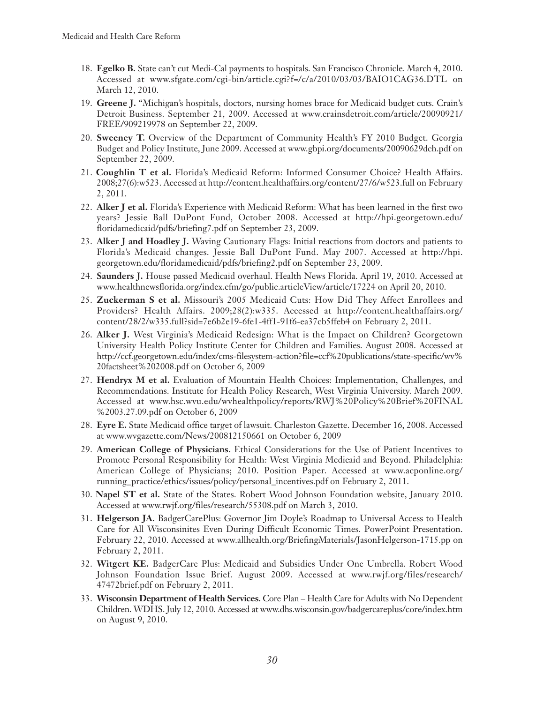- 18. **Egelko B.** State can't cut Medi-Cal payments to hospitals. San Francisco Chronicle. March 4, 2010. Accessed at www.sfgate.com/cgi-bin/article.cgi?f=/c/a/2010/03/03/BAIO1CAG36.DTL on March 12, 2010.
- 19. **Greene J.** "Michigan's hospitals, doctors, nursing homes brace for Medicaid budget cuts. Crain's Detroit Business. September 21, 2009. Accessed at www.crainsdetroit.com/article/20090921/ FREE/909219978 on September 22, 2009.
- 20. **Sweeney T.** Overview of the Department of Community Health's FY 2010 Budget. Georgia Budget and Policy Institute, June 2009. Accessed at www.gbpi.org/documents/20090629dch.pdf on September 22, 2009.
- 21. **Coughlin T et al.** Florida's Medicaid Reform: Informed Consumer Choice? Health Affairs. 2008;27(6):w523. Accessed at http://content.healthaffairs.org/content/27/6/w523.full on February 2, 2011.
- 22. **Alker J et al.** Florida's Experience with Medicaid Reform: What has been learned in the first two years? Jessie Ball DuPont Fund, October 2008. Accessed at http://hpi.georgetown.edu/ floridamedicaid/pdfs/briefing7.pdf on September 23, 2009.
- 23. **Alker J and Hoadley J.** Waving Cautionary Flags: Initial reactions from doctors and patients to Florida's Medicaid changes. Jessie Ball DuPont Fund. May 2007. Accessed at http://hpi. georgetown.edu/floridamedicaid/pdfs/briefing2.pdf on September 23, 2009.
- 24. **Saunders J.** House passed Medicaid overhaul. Health News Florida. April 19, 2010. Accessed at www.healthnewsflorida.org/index.cfm/go/public.articleView/article/17224 on April 20, 2010.
- 25. **Zuckerman S et al.** Missouri's 2005 Medicaid Cuts: How Did They Affect Enrollees and Providers? Health Affairs. 2009;28(2):w335. Accessed at http://content.healthaffairs.org/ content/28/2/w335.full?sid=7e6b2e19-6fe1-4ff1-91f6-ea37cb5ffeb4 on February 2, 2011.
- 26. **Alker J.** West Virginia's Medicaid Redesign: What is the Impact on Children? Georgetown University Health Policy Institute Center for Children and Families. August 2008. Accessed at http://ccf.georgetown.edu/index/cms-filesystem-action?file=ccf%20publications/state-specific/wv% 20factsheet%202008.pdf on October 6, 2009
- 27. **Hendryx M et al.** Evaluation of Mountain Health Choices: Implementation, Challenges, and Recommendations. Institute for Health Policy Research, West Virginia University. March 2009. Accessed at www.hsc.wvu.edu/wvhealthpolicy/reports/RWJ%20Policy%20Brief%20FINAL %2003.27.09.pdf on October 6, 2009
- 28. **Eyre E.** State Medicaid office target of lawsuit. Charleston Gazette. December 16, 2008. Accessed at www.wvgazette.com/News/200812150661 on October 6, 2009
- 29. **American College of Physicians.** Ethical Considerations for the Use of Patient Incentives to Promote Personal Responsibility for Health: West Virginia Medicaid and Beyond. Philadelphia: American College of Physicians; 2010. Position Paper. Accessed at www.acponline.org/ running\_practice/ethics/issues/policy/personal\_incentives.pdf on February 2, 2011.
- 30. **Napel ST et al.** State of the States. Robert Wood Johnson Foundation website, January 2010. Accessed at www.rwjf.org/files/research/55308.pdf on March 3, 2010.
- 31. **Helgerson JA.** BadgerCarePlus: Governor Jim Doyle's Roadmap to Universal Access to Health Care for All Wisconsinites Even During Difficult Economic Times. PowerPoint Presentation. February 22, 2010. Accessed at www.allhealth.org/BriefingMaterials/JasonHelgerson-1715.pp on February 2, 2011.
- 32. **Witgert KE.** BadgerCare Plus: Medicaid and Subsidies Under One Umbrella. Robert Wood Johnson Foundation Issue Brief. August 2009. Accessed at www.rwjf.org/files/research/ 47472brief.pdf on February 2, 2011.
- 33. **Wisconsin Department of Health Services.** Core Plan Health Care for Adults with No Dependent Children. WDHS. July 12, 2010. Accessed at www.dhs.wisconsin.gov/badgercareplus/core/index.htm on August 9, 2010.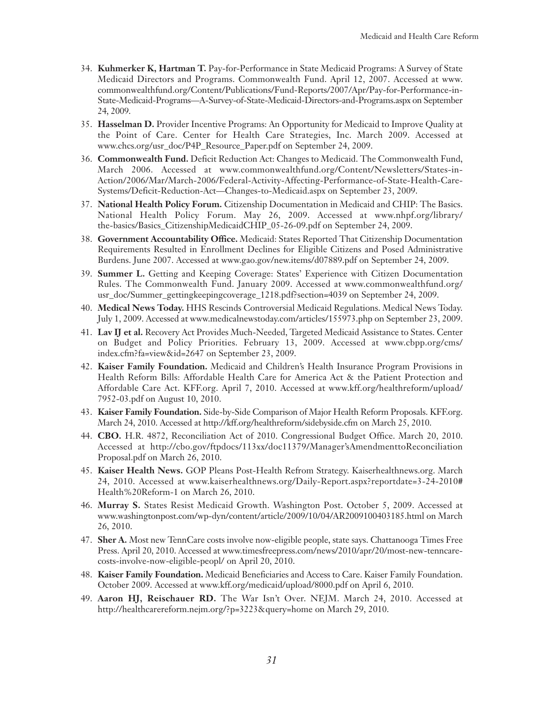- 34. **Kuhmerker K, Hartman T.** Pay-for-Performance in State Medicaid Programs: A Survey of State Medicaid Directors and Programs. Commonwealth Fund. April 12, 2007. Accessed at www. commonwealthfund.org/Content/Publications/Fund-Reports/2007/Apr/Pay-for-Performance-in-State-Medicaid-Programs—A-Survey-of-State-Medicaid-Directors-and-Programs.aspx on September 24, 2009.
- 35. **Hasselman D.** Provider Incentive Programs: An Opportunity for Medicaid to Improve Quality at the Point of Care. Center for Health Care Strategies, Inc. March 2009. Accessed at www.chcs.org/usr\_doc/P4P\_Resource\_Paper.pdf on September 24, 2009.
- 36. **Commonwealth Fund.** Deficit Reduction Act: Changes to Medicaid. The Commonwealth Fund, March 2006. Accessed at www.commonwealthfund.org/Content/Newsletters/States-in-Action/2006/Mar/March-2006/Federal-Activity-Affecting-Performance-of-State-Health-Care-Systems/Deficit-Reduction-Act—Changes-to-Medicaid.aspx on September 23, 2009.
- 37. **National Health Policy Forum.** Citizenship Documentation in Medicaid and CHIP: The Basics. National Health Policy Forum. May 26, 2009. Accessed at www.nhpf.org/library/ the-basics/Basics\_CitizenshipMedicaidCHIP\_05-26-09.pdf on September 24, 2009.
- 38. **Government Accountability Office.** Medicaid: States Reported That Citizenship Documentation Requirements Resulted in Enrollment Declines for Eligible Citizens and Posed Administrative Burdens. June 2007. Accessed at www.gao.gov/new.items/d07889.pdf on September 24, 2009.
- 39. **Summer L.** Getting and Keeping Coverage: States' Experience with Citizen Documentation Rules. The Commonwealth Fund. January 2009. Accessed at www.commonwealthfund.org/ usr\_doc/Summer\_gettingkeepingcoverage\_1218.pdf?section=4039 on September 24, 2009.
- 40. **Medical News Today.** HHS Rescinds Controversial Medicaid Regulations. Medical News Today. July 1, 2009. Accessed at www.medicalnewstoday.com/articles/155973.php on September 23, 2009.
- 41. **Lav IJ et al.** Recovery Act Provides Much-Needed, Targeted Medicaid Assistance to States. Center on Budget and Policy Priorities. February 13, 2009. Accessed at www.cbpp.org/cms/ index.cfm?fa=view&id=2647 on September 23, 2009.
- 42. **Kaiser Family Foundation.** Medicaid and Children's Health Insurance Program Provisions in Health Reform Bills: Affordable Health Care for America Act & the Patient Protection and Affordable Care Act. KFF.org. April 7, 2010. Accessed at www.kff.org/healthreform/upload/ 7952-03.pdf on August 10, 2010.
- 43. **Kaiser Family Foundation.** Side-by-Side Comparison of Major Health Reform Proposals. KFF.org. March 24, 2010. Accessed at http://kff.org/healthreform/sidebyside.cfm on March 25, 2010.
- 44. **CBO.** H.R. 4872, Reconciliation Act of 2010. Congressional Budget Office. March 20, 2010. Accessed at http://cbo.gov/ftpdocs/113xx/doc11379/Manager'sAmendmenttoReconciliation Proposal.pdf on March 26, 2010.
- 45. **Kaiser Health News.** GOP Pleans Post-Health Refrom Strategy. Kaiserhealthnews.org. March 24, 2010. Accessed at www.kaiserhealthnews.org/Daily-Report.aspx?reportdate=3-24-2010# Health%20Reform-1 on March 26, 2010.
- 46. **Murray S.** States Resist Medicaid Growth. Washington Post. October 5, 2009. Accessed at www.washingtonpost.com/wp-dyn/content/article/2009/10/04/AR2009100403185.html on March 26, 2010.
- 47. **Sher A.** Most new TennCare costs involve now-eligible people, state says. Chattanooga Times Free Press. April 20, 2010. Accessed at www.timesfreepress.com/news/2010/apr/20/most-new-tenncarecosts-involve-now-eligible-peopl/ on April 20, 2010.
- 48. **Kaiser Family Foundation.** Medicaid Beneficiaries and Access to Care. Kaiser Family Foundation. October 2009. Accessed at www.kff.org/medicaid/upload/8000.pdf on April 6, 2010.
- 49. **Aaron HJ, Reischauer RD.** The War Isn't Over. NEJM. March 24, 2010. Accessed at http://healthcarereform.nejm.org/?p=3223&query=home on March 29, 2010.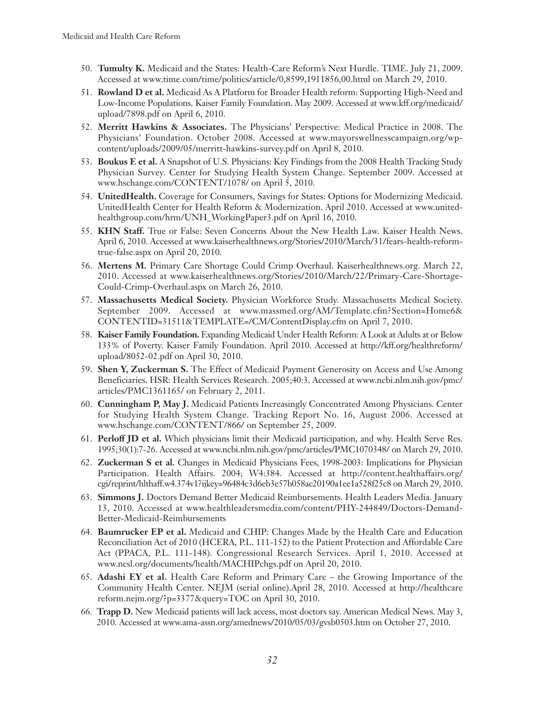- 50. **Tumulty K.** Medicaid and the States: Health-Care Reform's Next Hurdle. TIME. July 21, 2009. Accessed at www.time.com/time/politics/article/0,8599,1911856,00.html on March 29, 2010.
- 51. **Rowland D et al.** Medicaid As A Platform for Broader Health reform: Supporting High-Need and Low-Income Populations. Kaiser Family Foundation. May 2009. Accessed at www.kff.org/medicaid/ upload/7898.pdf on April 6, 2010.
- 52. **Merritt Hawkins & Associates.** The Physicians' Perspective: Medical Practice in 2008. The Physicians' Foundation. October 2008. Accessed at www.mayorswellnesscampaign.org/wpcontent/uploads/2009/05/merritt-hawkins-survey.pdf on April 8, 2010.
- 53. **Boukus E et al.** A Snapshot of U.S. Physicians: Key Findings from the 2008 Health Tracking Study Physician Survey. Center for Studying Health System Change. September 2009. Accessed at www.hschange.com/CONTENT/1078/ on April 5, 2010.
- 54. **UnitedHealth.** Coverage for Consumers, Savings for States: Options for Modernizing Medicaid. UnitedHealth Center for Health Reform & Modernization. April 2010. Accessed at www.unitedhealthgroup.com/hrm/UNH\_WorkingPaper3.pdf on April 16, 2010.
- 55. **KHN Staff.** True or False: Seven Concerns About the New Health Law. Kaiser Health News. April 6, 2010. Accessed at www.kaiserhealthnews.org/Stories/2010/March/31/fears-health-reformtrue-false.aspx on April 20, 2010.
- 56. **Mertens M.** Primary Care Shortage Could Crimp Overhaul. Kaiserhealthnews.org. March 22, 2010. Accessed at www.kaiserhealthnews.org/Stories/2010/March/22/Primary-Care-Shortage-Could-Crimp-Overhaul.aspx on March 26, 2010.
- 57. **Massachusetts Medical Society.** Physician Workforce Study. Massachusetts Medical Society. September 2009. Accessed at www.massmed.org/AM/Template.cfm?Section=Home6& CONTENTID=31511&TEMPLATE=/CM/ContentDisplay.cfm on April 7, 2010.
- 58. **Kaiser Family Foundation.** Expanding Medicaid Under Health Reform: A Look at Adults at or Below 133% of Poverty. Kaiser Family Foundation. April 2010. Accessed at http://kff.org/healthreform/ upload/8052-02.pdf on April 30, 2010.
- 59. **Shen Y, Zuckerman S.** The Effect of Medicaid Payment Generosity on Access and Use Among Beneficiaries. HSR: Health Services Research. 2005;40:3. Accessed at www.ncbi.nlm.nih.gov/pmc/ articles/PMC1361165/ on February 2, 2011.
- 60. **Cunningham P, May J.** Medicaid Patients Increasingly Concentrated Among Physicians. Center for Studying Health System Change. Tracking Report No. 16, August 2006. Accessed at www.hschange.com/CONTENT/866/ on September 25, 2009.
- 61. **Perloff JD et al.** Which physicians limit their Medicaid participation, and why. Health Serve Res. 1995;30(1):7-26. Accessed at www.ncbi.nlm.nih.gov/pmc/articles/PMC1070348/ on March 29, 2010.
- 62. **Zuckerman S et al.** Changes in Medicaid Physicians Fees, 1998-2003: Implications for Physician Participation. Health Affairs. 2004; W4:384. Accessed at http://content.healthaffairs.org/ cgi/reprint/hlthaff.w4.374v1?ijkey=96484c3d6eb3e57b058ac20190a1ee1a528f25c8 on March 29, 2010.
- 63. **Simmons J.** Doctors Demand Better Medicaid Reimbursements. Health Leaders Media. January 13, 2010. Accessed at www.healthleadersmedia.com/content/PHY-244849/Doctors-Demand-Better-Medicaid-Reimbursements
- 64. **Baumrucker EP et al.** Medicaid and CHIP: Changes Made by the Health Care and Education Reconciliation Act of 2010 (HCERA, P.L. 111-152) to the Patient Protection and Affordable Care Act (PPACA, P.L. 111-148). Congressional Research Services. April 1, 2010. Accessed at www.ncsl.org/documents/health/MACHIPchgs.pdf on April 20, 2010.
- 65. **Adashi EY et al.** Health Care Reform and Primary Care the Growing Importance of the Community Health Center. NEJM (serial online).April 28, 2010. Accessed at http://healthcare reform.nejm.org/?p=3377&query=TOC on April 30, 2010.
- 66. **Trapp D.** New Medicaid patients will lack access, most doctors say. American Medical News. May 3, 2010. Accessed at www.ama-assn.org/amednews/2010/05/03/gvsb0503.htm on October 27, 2010.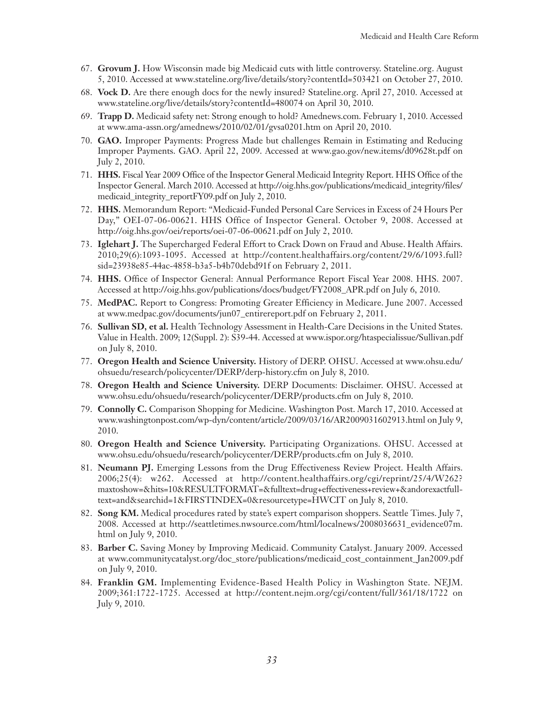- 67. **Grovum J.** How Wisconsin made big Medicaid cuts with little controversy. Stateline.org. August 5, 2010. Accessed at www.stateline.org/live/details/story?contentId=503421 on October 27, 2010.
- 68. **Vock D.** Are there enough docs for the newly insured? Stateline.org. April 27, 2010. Accessed at www.stateline.org/live/details/story?contentId=480074 on April 30, 2010.
- 69. **Trapp D.** Medicaid safety net: Strong enough to hold? Amednews.com. February 1, 2010. Accessed at www.ama-assn.org/amednews/2010/02/01/gvsa0201.htm on April 20, 2010.
- 70. **GAO.** Improper Payments: Progress Made but challenges Remain in Estimating and Reducing Improper Payments. GAO. April 22, 2009. Accessed at www.gao.gov/new.items/d09628t.pdf on July 2, 2010.
- 71. **HHS.** Fiscal Year 2009 Office of the Inspector General Medicaid Integrity Report. HHS Office of the Inspector General. March 2010. Accessed at http://oig.hhs.gov/publications/medicaid\_integrity/files/ medicaid\_integrity\_reportFY09.pdf on July 2, 2010.
- 72. **HHS.** Memorandum Report: "Medicaid-Funded Personal Care Services in Excess of 24 Hours Per Day," OEI-07-06-00621. HHS Office of Inspector General. October 9, 2008. Accessed at http://oig.hhs.gov/oei/reports/oei-07-06-00621.pdf on July 2, 2010.
- 73. **Iglehart J.** The Supercharged Federal Effort to Crack Down on Fraud and Abuse. Health Affairs. 2010;29(6):1093-1095. Accessed at http://content.healthaffairs.org/content/29/6/1093.full? sid=23938e85-44ac-4858-b3a5-b4b70debd91f on February 2, 2011.
- 74. **HHS.** Office of Inspector General: Annual Performance Report Fiscal Year 2008. HHS. 2007. Accessed at http://oig.hhs.gov/publications/docs/budget/FY2008\_APR.pdf on July 6, 2010.
- 75. **MedPAC.** Report to Congress: Promoting Greater Efficiency in Medicare. June 2007. Accessed at www.medpac.gov/documents/jun07\_entirereport.pdf on February 2, 2011.
- 76. **Sullivan SD, et al.** Health Technology Assessment in Health-Care Decisions in the United States. Value in Health. 2009; 12(Suppl. 2): S39-44. Accessed at www.ispor.org/htaspecialissue/Sullivan.pdf on July 8, 2010.
- 77. **Oregon Health and Science University.** History of DERP. OHSU. Accessed at www.ohsu.edu/ ohsuedu/research/policycenter/DERP/derp-history.cfm on July 8, 2010.
- 78. **Oregon Health and Science University.** DERP Documents: Disclaimer. OHSU. Accessed at www.ohsu.edu/ohsuedu/research/policycenter/DERP/products.cfm on July 8, 2010.
- 79. **Connolly C.** Comparison Shopping for Medicine. Washington Post. March 17, 2010. Accessed at www.washingtonpost.com/wp-dyn/content/article/2009/03/16/AR2009031602913.html on July 9, 2010.
- 80. **Oregon Health and Science University.** Participating Organizations. OHSU. Accessed at www.ohsu.edu/ohsuedu/research/policycenter/DERP/products.cfm on July 8, 2010.
- 81. **Neumann PJ.** Emerging Lessons from the Drug Effectiveness Review Project. Health Affairs. 2006;25(4): w262. Accessed at http://content.healthaffairs.org/cgi/reprint/25/4/W262? maxtoshow=&hits=10&RESULTFORMAT=&fulltext=drug+effectiveness+review+&andorexactfulltext=and&searchid=1&FIRSTINDEX=0&resourcetype=HWCIT on July 8, 2010.
- 82. **Song KM.** Medical procedures rated by state's expert comparison shoppers. Seattle Times. July 7, 2008. Accessed at http://seattletimes.nwsource.com/html/localnews/2008036631\_evidence07m. html on July 9, 2010.
- 83. **Barber C.** Saving Money by Improving Medicaid. Community Catalyst. January 2009. Accessed at www.communitycatalyst.org/doc\_store/publications/medicaid\_cost\_containment\_Jan2009.pdf on July 9, 2010.
- 84. **Franklin GM.** Implementing Evidence-Based Health Policy in Washington State. NEJM. 2009;361:1722-1725. Accessed at http://content.nejm.org/cgi/content/full/361/18/1722 on July 9, 2010.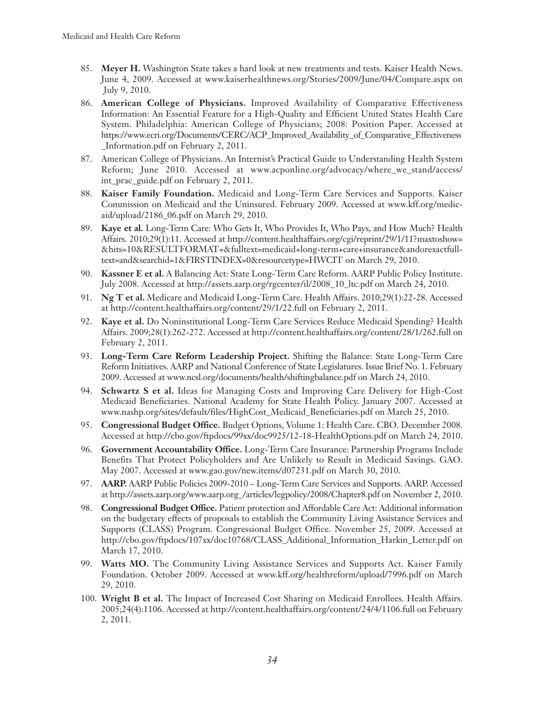- 85. **Meyer H.** Washington State takes a hard look at new treatments and tests. Kaiser Health News. June 4, 2009. Accessed at www.kaiserhealthnews.org/Stories/2009/June/04/Compare.aspx on July 9, 2010.
- 86. **American College of Physicians.** Improved Availability of Comparative Effectiveness Information: An Essential Feature for a High-Quality and Efficient United States Health Care System. Philadelphia: American College of Physicians; 2008: Position Paper. Accessed at https://www.ecri.org/Documents/CERC/ACP\_Improved\_Availability\_of\_Comparative\_Effectiveness \_Information.pdf on February 2, 2011.
- 87. American College of Physicians. An Internist's Practical Guide to Understanding Health System Reform; June 2010. Accessed at www.acponline.org/advocacy/where\_we\_stand/access/ int\_prac\_guide.pdf on February 2, 2011.
- 88. **Kaiser Family Foundation.** Medicaid and Long-Term Care Services and Supports. Kaiser Commission on Medicaid and the Uninsured. February 2009. Accessed at www.kff.org/medicaid/upload/2186\_06.pdf on March 29, 2010.
- 89. **Kaye et al.** Long-Term Care: Who Gets It, Who Provides It, Who Pays, and How Much? Health Affairs. 2010;29(1):11. Accessed at http://content.healthaffairs.org/cgi/reprint/29/1/11?maxtoshow= &hits=10&RESULTFORMAT=&fulltext=medicaid+long-term+care+insurance&andorexactfulltext=and&searchid=1&FIRSTINDEX=0&resourcetype=HWCIT on March 29, 2010.
- 90. **Kassner E et al.** A Balancing Act: State Long-Term Care Reform. AARP Public Policy Institute. July 2008. Accessed at http://assets.aarp.org/rgcenter/il/2008\_10\_ltc.pdf on March 24, 2010.
- 91. **Ng T et al.** Medicare and Medicaid Long-Term Care. Health Affairs. 2010;29(1):22-28. Accessed at http://content.healthaffairs.org/content/29/1/22.full on February 2, 2011.
- 92. **Kaye et al.** Do Noninstitutional Long-Term Care Services Reduce Medicaid Spending? Health Affairs. 2009;28(1):262-272. Accessed at http://content.healthaffairs.org/content/28/1/262.full on February 2, 2011.
- 93. **Long-Term Care Reform Leadership Project.** Shifting the Balance: State Long-Term Care Reform Initiatives. AARP and National Conference of State Legislatures. Issue Brief No. 1. February 2009. Accessed at www.ncsl.org/documents/health/shiftingbalance.pdf on March 24, 2010.
- 94. **Schwartz S et al.** Ideas for Managing Costs and Improving Care Delivery for High-Cost Medicaid Beneficiaries. National Academy for State Health Policy. January 2007. Accessed at www.nashp.org/sites/default/files/HighCost\_Medicaid\_Beneficiaries.pdf on March 25, 2010.
- 95. **Congressional Budget Office.** Budget Options, Volume 1: Health Care. CBO. December 2008. Accessed at http://cbo.gov/ftpdocs/99xx/doc9925/12-18-HealthOptions.pdf on March 24, 2010.
- 96. **Government Accountability Office.** Long-Term Care Insurance: Partnership Programs Include Benefits That Protect Policyholders and Are Unlikely to Result in Medicaid Savings. GAO. May 2007. Accessed at www.gao.gov/new.items/d07231.pdf on March 30, 2010.
- 97. **AARP.** AARP Public Policies 2009-2010 Long-Term Care Services and Supports. AARP. Accessed at http://assets.aarp.org/www.aarp.org\_/articles/legpolicy/2008/Chapter8.pdf on November 2, 2010.
- 98. **Congressional Budget Office.** Patient protection and Affordable Care Act: Additional information on the budgetary effects of proposals to establish the Community Living Assistance Services and Supports (CLASS) Program. Congressional Budget Office. November 25, 2009. Accessed at http://cbo.gov/ftpdocs/107xx/doc10768/CLASS\_Additional\_Information\_Harkin\_Letter.pdf on March 17, 2010.
- 99. **Watts MO.** The Community Living Assistance Services and Supports Act. Kaiser Family Foundation. October 2009. Accessed at www.kff.org/healthreform/upload/7996.pdf on March 29, 2010.
- 100. **Wright B et al.** The Impact of Increased Cost Sharing on Medicaid Enrollees. Health Affairs. 2005;24(4):1106. Accessed at http://content.healthaffairs.org/content/24/4/1106.full on February 2, 2011.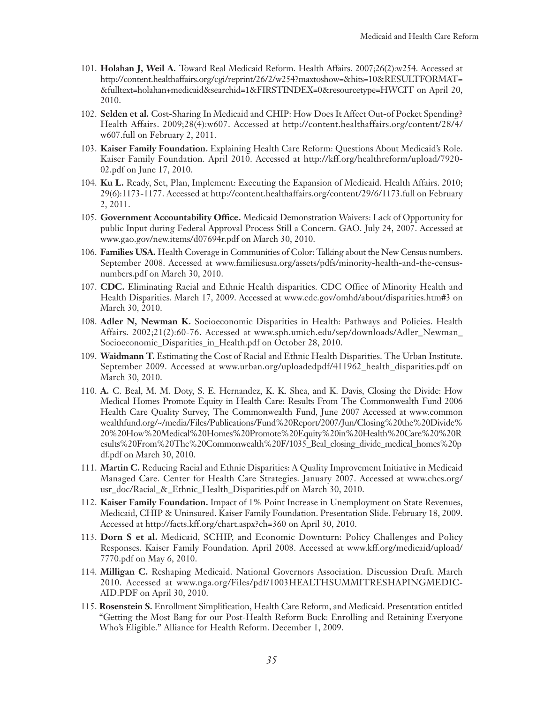- 101. **Holahan J, Weil A.** Toward Real Medicaid Reform. Health Affairs. 2007;26(2):w254. Accessed at http://content.healthaffairs.org/cgi/reprint/26/2/w254?maxtoshow=&hits=10&RESULTFORMAT= &fulltext=holahan+medicaid&searchid=1&FIRSTINDEX=0&resourcetype=HWCIT on April 20, 2010.
- 102. **Selden et al.** Cost-Sharing In Medicaid and CHIP: How Does It Affect Out-of Pocket Spending? Health Affairs. 2009;28(4):w607. Accessed at http://content.healthaffairs.org/content/28/4/ w607.full on February 2, 2011.
- 103. **Kaiser Family Foundation.** Explaining Health Care Reform: Questions About Medicaid's Role. Kaiser Family Foundation. April 2010. Accessed at http://kff.org/healthreform/upload/7920- 02.pdf on June 17, 2010.
- 104. **Ku L.** Ready, Set, Plan, Implement: Executing the Expansion of Medicaid. Health Affairs. 2010; 29(6):1173-1177. Accessed at http://content.healthaffairs.org/content/29/6/1173.full on February 2, 2011.
- 105. **Government Accountability Office.** Medicaid Demonstration Waivers: Lack of Opportunity for public Input during Federal Approval Process Still a Concern. GAO. July 24, 2007. Accessed at www.gao.gov/new.items/d07694r.pdf on March 30, 2010.
- 106. **Families USA.** Health Coverage in Communities of Color: Talking about the New Census numbers. September 2008. Accessed at www.familiesusa.org/assets/pdfs/minority-health-and-the-censusnumbers.pdf on March 30, 2010.
- 107. **CDC.** Eliminating Racial and Ethnic Health disparities. CDC Office of Minority Health and Health Disparities. March 17, 2009. Accessed at www.cdc.gov/omhd/about/disparities.htm#3 on March 30, 2010.
- 108. **Adler N, Newman K.** Socioeconomic Disparities in Health: Pathways and Policies. Health Affairs. 2002;21(2):60-76. Accessed at www.sph.umich.edu/sep/downloads/Adler\_Newman\_ Socioeconomic\_Disparities\_in\_Health.pdf on October 28, 2010.
- 109. **Waidmann T.** Estimating the Cost of Racial and Ethnic Health Disparities. The Urban Institute. September 2009. Accessed at www.urban.org/uploadedpdf/411962\_health\_disparities.pdf on March 30, 2010.
- 110. **A.** C. Beal, M. M. Doty, S. E. Hernandez, K. K. Shea, and K. Davis, Closing the Divide: How Medical Homes Promote Equity in Health Care: Results From The Commonwealth Fund 2006 Health Care Quality Survey, The Commonwealth Fund, June 2007 Accessed at www.common wealthfund.org/~/media/Files/Publications/Fund%20Report/2007/Jun/Closing%20the%20Divide% 20%20How%20Medical%20Homes%20Promote%20Equity%20in%20Health%20Care%20%20R esults%20From%20The%20Commonwealth%20F/1035\_Beal\_closing\_divide\_medical\_homes%20p df.pdf on March 30, 2010.
- 111. **Martin C.** Reducing Racial and Ethnic Disparities: A Quality Improvement Initiative in Medicaid Managed Care. Center for Health Care Strategies. January 2007. Accessed at www.chcs.org/ usr\_doc/Racial\_&\_Ethnic\_Health\_Disparities.pdf on March 30, 2010.
- 112. **Kaiser Family Foundation.** Impact of 1% Point Increase in Unemployment on State Revenues, Medicaid, CHIP & Uninsured. Kaiser Family Foundation. Presentation Slide. February 18, 2009. Accessed at http://facts.kff.org/chart.aspx?ch=360 on April 30, 2010.
- 113. **Dorn S et al.** Medicaid, SCHIP, and Economic Downturn: Policy Challenges and Policy Responses. Kaiser Family Foundation. April 2008. Accessed at www.kff.org/medicaid/upload/ 7770.pdf on May 6, 2010.
- 114. **Milligan C.** Reshaping Medicaid. National Governors Association. Discussion Draft. March 2010. Accessed at www.nga.org/Files/pdf/1003HEALTHSUMMITRESHAPINGMEDIC-AID.PDF on April 30, 2010.
- 115. **Rosenstein S.** Enrollment Simplification, Health Care Reform, and Medicaid. Presentation entitled "Getting the Most Bang for our Post-Health Reform Buck: Enrolling and Retaining Everyone Who's Eligible." Alliance for Health Reform. December 1, 2009.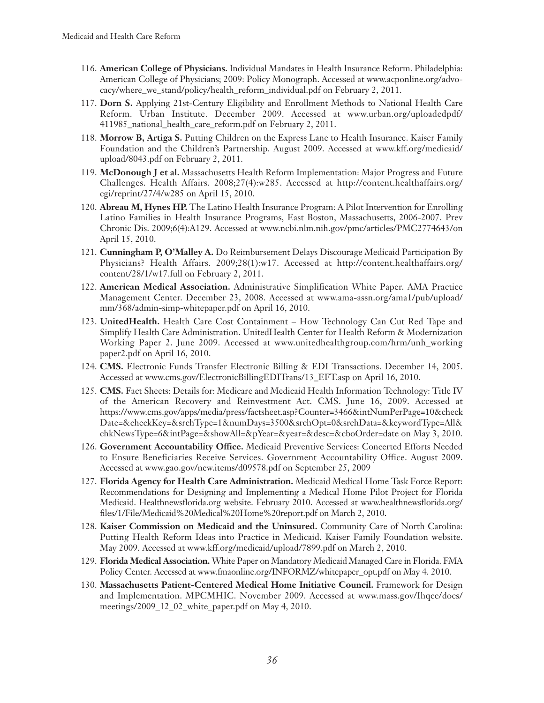- 116. **American College of Physicians.** Individual Mandates in Health Insurance Reform. Philadelphia: American College of Physicians; 2009: Policy Monograph. Accessed at www.acponline.org/advocacy/where\_we\_stand/policy/health\_reform\_individual.pdf on February 2, 2011.
- 117. **Dorn S.** Applying 21st-Century Eligibility and Enrollment Methods to National Health Care Reform. Urban Institute. December 2009. Accessed at www.urban.org/uploadedpdf/ 411985\_national\_health\_care\_reform.pdf on February 2, 2011.
- 118. **Morrow B, Artiga S.** Putting Children on the Express Lane to Health Insurance. Kaiser Family Foundation and the Children's Partnership. August 2009. Accessed at www.kff.org/medicaid/ upload/8043.pdf on February 2, 2011.
- 119. **McDonough J et al.** Massachusetts Health Reform Implementation: Major Progress and Future Challenges. Health Affairs. 2008;27(4):w285. Accessed at http://content.healthaffairs.org/ cgi/reprint/27/4/w285 on April 15, 2010.
- 120. **Abreau M, Hynes HP.** The Latino Health Insurance Program: A Pilot Intervention for Enrolling Latino Families in Health Insurance Programs, East Boston, Massachusetts, 2006-2007. Prev Chronic Dis. 2009;6(4):A129. Accessed at www.ncbi.nlm.nih.gov/pmc/articles/PMC2774643/on April 15, 2010.
- 121. **Cunningham P, O'Malley A.** Do Reimbursement Delays Discourage Medicaid Participation By Physicians? Health Affairs. 2009;28(1):w17. Accessed at http://content.healthaffairs.org/ content/28/1/w17.full on February 2, 2011.
- 122. **American Medical Association.** Administrative Simplification White Paper. AMA Practice Management Center. December 23, 2008. Accessed at www.ama-assn.org/ama1/pub/upload/ mm/368/admin-simp-whitepaper.pdf on April 16, 2010.
- 123. **UnitedHealth.** Health Care Cost Containment How Technology Can Cut Red Tape and Simplify Health Care Administration. UnitedHealth Center for Health Reform & Modernization Working Paper 2. June 2009. Accessed at www.unitedhealthgroup.com/hrm/unh\_working paper2.pdf on April 16, 2010.
- 124. **CMS.** Electronic Funds Transfer Electronic Billing & EDI Transactions. December 14, 2005. Accessed at www.cms.gov/ElectronicBillingEDITrans/13\_EFT.asp on April 16, 2010.
- 125. **CMS.** Fact Sheets: Details for: Medicare and Medicaid Health Information Technology: Title IV of the American Recovery and Reinvestment Act. CMS. June 16, 2009. Accessed at https://www.cms.gov/apps/media/press/factsheet.asp?Counter=3466&intNumPerPage=10&check Date=&checkKey=&srchType=1&numDays=3500&srchOpt=0&srchData=&keywordType=All& chkNewsType=6&intPage=&showAll=&pYear=&year=&desc=&cboOrder=date on May 3, 2010.
- 126. **Government Accountability Office.** Medicaid Preventive Services: Concerted Efforts Needed to Ensure Beneficiaries Receive Services. Government Accountability Office. August 2009. Accessed at www.gao.gov/new.items/d09578.pdf on September 25, 2009
- 127. **Florida Agency for Health Care Administration.** Medicaid Medical Home Task Force Report: Recommendations for Designing and Implementing a Medical Home Pilot Project for Florida Medicaid. Healthnewsflorida.org website. February 2010. Accessed at www.healthnewsflorida.org/ files/1/File/Medicaid%20Medical%20Home%20report.pdf on March 2, 2010.
- 128. **Kaiser Commission on Medicaid and the Uninsured.** Community Care of North Carolina: Putting Health Reform Ideas into Practice in Medicaid. Kaiser Family Foundation website. May 2009. Accessed at www.kff.org/medicaid/upload/7899.pdf on March 2, 2010.
- 129. **Florida Medical Association.** White Paper on Mandatory Medicaid Managed Care in Florida. FMA Policy Center. Accessed at www.fmaonline.org/INFORMZ/whitepaper\_opt.pdf on May 4. 2010.
- 130. **Massachusetts Patient-Centered Medical Home Initiative Council.** Framework for Design and Implementation. MPCMHIC. November 2009. Accessed at www.mass.gov/Ihqcc/docs/ meetings/2009\_12\_02\_white\_paper.pdf on May 4, 2010.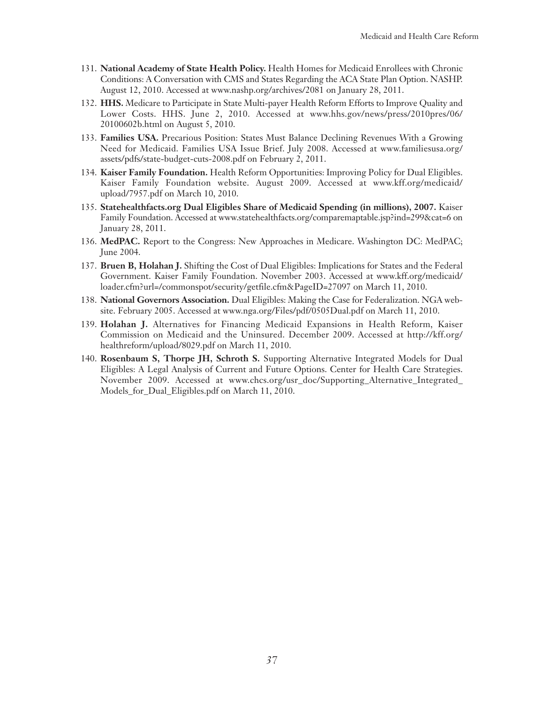- 131. **National Academy of State Health Policy.** Health Homes for Medicaid Enrollees with Chronic Conditions: A Conversation with CMS and States Regarding the ACA State Plan Option. NASHP. August 12, 2010. Accessed at www.nashp.org/archives/2081 on January 28, 2011.
- 132. **HHS.** Medicare to Participate in State Multi-payer Health Reform Efforts to Improve Quality and Lower Costs. HHS. June 2, 2010. Accessed at www.hhs.gov/news/press/2010pres/06/ 20100602b.html on August 5, 2010.
- 133. **Families USA.** Precarious Position: States Must Balance Declining Revenues With a Growing Need for Medicaid. Families USA Issue Brief. July 2008. Accessed at www.familiesusa.org/ assets/pdfs/state-budget-cuts-2008.pdf on February 2, 2011.
- 134. **Kaiser Family Foundation.** Health Reform Opportunities: Improving Policy for Dual Eligibles. Kaiser Family Foundation website. August 2009. Accessed at www.kff.org/medicaid/ upload/7957.pdf on March 10, 2010.
- 135. **Statehealthfacts.org Dual Eligibles Share of Medicaid Spending (in millions), 2007.** Kaiser Family Foundation. Accessed at www.statehealthfacts.org/comparemaptable.jsp?ind=299&cat=6 on January 28, 2011.
- 136. **MedPAC.** Report to the Congress: New Approaches in Medicare. Washington DC: MedPAC; June 2004.
- 137. **Bruen B, Holahan J.** Shifting the Cost of Dual Eligibles: Implications for States and the Federal Government. Kaiser Family Foundation. November 2003. Accessed at www.kff.org/medicaid/ loader.cfm?url=/commonspot/security/getfile.cfm&PageID=27097 on March 11, 2010.
- 138. **National Governors Association.** Dual Eligibles: Making the Case for Federalization. NGA website. February 2005. Accessed at www.nga.org/Files/pdf/0505Dual.pdf on March 11, 2010.
- 139. **Holahan J.** Alternatives for Financing Medicaid Expansions in Health Reform, Kaiser Commission on Medicaid and the Uninsured. December 2009. Accessed at http://kff.org/ healthreform/upload/8029.pdf on March 11, 2010.
- 140. **Rosenbaum S, Thorpe JH, Schroth S.** Supporting Alternative Integrated Models for Dual Eligibles: A Legal Analysis of Current and Future Options. Center for Health Care Strategies. November 2009. Accessed at www.chcs.org/usr\_doc/Supporting\_Alternative\_Integrated\_ Models\_for\_Dual\_Eligibles.pdf on March 11, 2010.